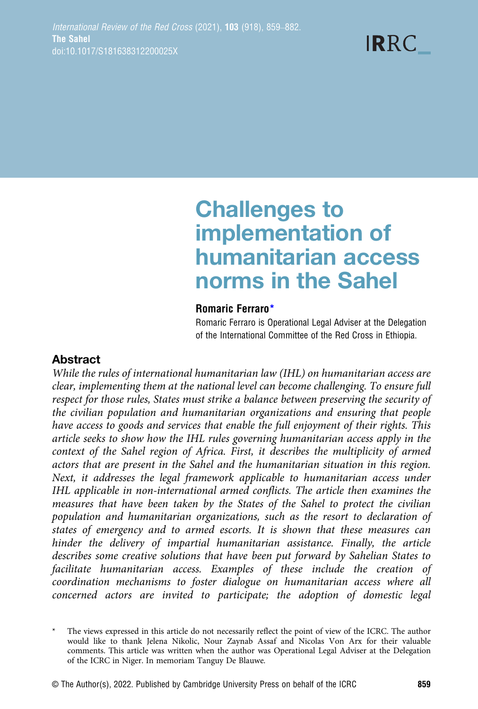# Challenges to implementation of humanitarian access norms in the Sahel

## Romaric Ferraro\*

Romaric Ferraro is Operational Legal Adviser at the Delegation of the International Committee of the Red Cross in Ethiopia.

# Abstract

While the rules of international humanitarian law (IHL) on humanitarian access are clear, implementing them at the national level can become challenging. To ensure full respect for those rules, States must strike a balance between preserving the security of the civilian population and humanitarian organizations and ensuring that people have access to goods and services that enable the full enjoyment of their rights. This article seeks to show how the IHL rules governing humanitarian access apply in the context of the Sahel region of Africa. First, it describes the multiplicity of armed actors that are present in the Sahel and the humanitarian situation in this region. Next, it addresses the legal framework applicable to humanitarian access under IHL applicable in non-international armed conflicts. The article then examines the measures that have been taken by the States of the Sahel to protect the civilian population and humanitarian organizations, such as the resort to declaration of states of emergency and to armed escorts. It is shown that these measures can hinder the delivery of impartial humanitarian assistance. Finally, the article describes some creative solutions that have been put forward by Sahelian States to facilitate humanitarian access. Examples of these include the creation of coordination mechanisms to foster dialogue on humanitarian access where all concerned actors are invited to participate; the adoption of domestic legal

The views expressed in this article do not necessarily reflect the point of view of the ICRC. The author would like to thank Jelena Nikolic, Nour Zaynab Assaf and Nicolas Von Arx for their valuable comments. This article was written when the author was Operational Legal Adviser at the Delegation of the ICRC in Niger. In memoriam Tanguy De Blauwe.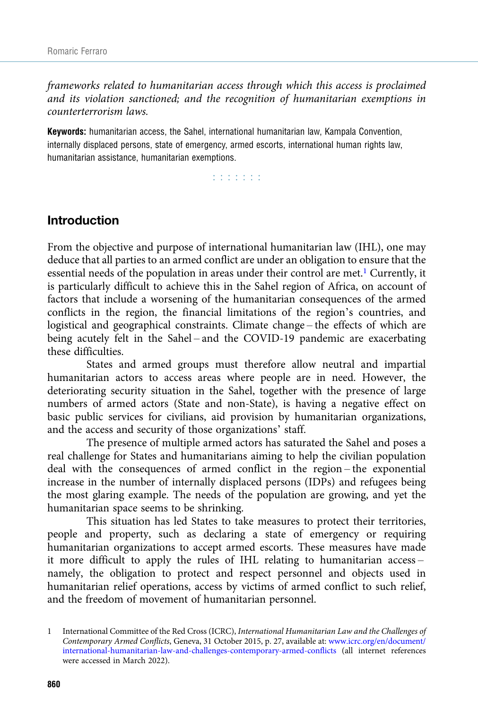frameworks related to humanitarian access through which this access is proclaimed and its violation sanctioned; and the recognition of humanitarian exemptions in counterterrorism laws.

Keywords: humanitarian access, the Sahel, international humanitarian law, Kampala Convention, internally displaced persons, state of emergency, armed escorts, international human rights law, humanitarian assistance, humanitarian exemptions.

r r r r r r r

# Introduction

From the objective and purpose of international humanitarian law (IHL), one may deduce that all parties to an armed conflict are under an obligation to ensure that the essential needs of the population in areas under their control are met.<sup>1</sup> Currently, it is particularly difficult to achieve this in the Sahel region of Africa, on account of factors that include a worsening of the humanitarian consequences of the armed conflicts in the region, the financial limitations of the region's countries, and logistical and geographical constraints. Climate change – the effects of which are being acutely felt in the Sahel – and the COVID-19 pandemic are exacerbating these difficulties.

States and armed groups must therefore allow neutral and impartial humanitarian actors to access areas where people are in need. However, the deteriorating security situation in the Sahel, together with the presence of large numbers of armed actors (State and non-State), is having a negative effect on basic public services for civilians, aid provision by humanitarian organizations, and the access and security of those organizations' staff.

The presence of multiple armed actors has saturated the Sahel and poses a real challenge for States and humanitarians aiming to help the civilian population deal with the consequences of armed conflict in the region – the exponential increase in the number of internally displaced persons (IDPs) and refugees being the most glaring example. The needs of the population are growing, and yet the humanitarian space seems to be shrinking.

This situation has led States to take measures to protect their territories, people and property, such as declaring a state of emergency or requiring humanitarian organizations to accept armed escorts. These measures have made it more difficult to apply the rules of IHL relating to humanitarian access – namely, the obligation to protect and respect personnel and objects used in humanitarian relief operations, access by victims of armed conflict to such relief, and the freedom of movement of humanitarian personnel.

<sup>1</sup> International Committee of the Red Cross (ICRC), International Humanitarian Law and the Challenges of Contemporary Armed Conflicts, Geneva, 31 October 2015, p. 27, available at: [www.icrc.org/en/document/](https://www.icrc.org/en/document/international-humanitarian-law-and-challenges-contemporary-armed-conflicts) [international-humanitarian-law-and-challenges-contemporary-armed-conflicts](https://www.icrc.org/en/document/international-humanitarian-law-and-challenges-contemporary-armed-conflicts) (all internet references were accessed in March 2022).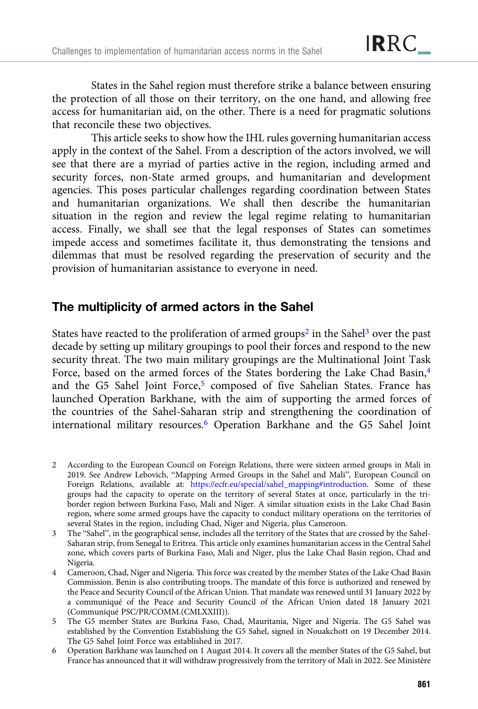States in the Sahel region must therefore strike a balance between ensuring the protection of all those on their territory, on the one hand, and allowing free access for humanitarian aid, on the other. There is a need for pragmatic solutions that reconcile these two objectives.

This article seeks to show how the IHL rules governing humanitarian access apply in the context of the Sahel. From a description of the actors involved, we will see that there are a myriad of parties active in the region, including armed and security forces, non-State armed groups, and humanitarian and development agencies. This poses particular challenges regarding coordination between States and humanitarian organizations. We shall then describe the humanitarian situation in the region and review the legal regime relating to humanitarian access. Finally, we shall see that the legal responses of States can sometimes impede access and sometimes facilitate it, thus demonstrating the tensions and dilemmas that must be resolved regarding the preservation of security and the provision of humanitarian assistance to everyone in need.

# The multiplicity of armed actors in the Sahel

States have reacted to the proliferation of armed groups<sup>2</sup> in the Sahel<sup>3</sup> over the past decade by setting up military groupings to pool their forces and respond to the new security threat. The two main military groupings are the Multinational Joint Task Force, based on the armed forces of the States bordering the Lake Chad Basin,<sup>4</sup> and the G5 Sahel Joint Force,<sup>5</sup> composed of five Sahelian States. France has launched Operation Barkhane, with the aim of supporting the armed forces of the countries of the Sahel-Saharan strip and strengthening the coordination of international military resources.6 Operation Barkhane and the G5 Sahel Joint

- 2 According to the European Council on Foreign Relations, there were sixteen armed groups in Mali in 2019. See Andrew Lebovich, "Mapping Armed Groups in the Sahel and Mali", European Council on Foreign Relations, available at: [https://ecfr.eu/special/sahel\\_mapping#introduction](https://ecfr.eu/special/sahel_mapping%23introduction). Some of these groups had the capacity to operate on the territory of several States at once, particularly in the triborder region between Burkina Faso, Mali and Niger. A similar situation exists in the Lake Chad Basin region, where some armed groups have the capacity to conduct military operations on the territories of several States in the region, including Chad, Niger and Nigeria, plus Cameroon.
- 3 The "Sahel", in the geographical sense, includes all the territory of the States that are crossed by the Sahel-Saharan strip, from Senegal to Eritrea. This article only examines humanitarian access in the Central Sahel zone, which covers parts of Burkina Faso, Mali and Niger, plus the Lake Chad Basin region, Chad and Nigeria.
- 4 Cameroon, Chad, Niger and Nigeria. This force was created by the member States of the Lake Chad Basin Commission. Benin is also contributing troops. The mandate of this force is authorized and renewed by the Peace and Security Council of the African Union. That mandate was renewed until 31 January 2022 by a communiqué of the Peace and Security Council of the African Union dated 18 January 2021 (Communiqué PSC/PR/COMM.(CMLXXIII)).
- 5 The G5 member States are Burkina Faso, Chad, Mauritania, Niger and Nigeria. The G5 Sahel was established by the Convention Establishing the G5 Sahel, signed in Nouakchott on 19 December 2014. The G5 Sahel Joint Force was established in 2017.
- 6 Operation Barkhane was launched on 1 August 2014. It covers all the member States of the G5 Sahel, but France has announced that it will withdraw progressively from the territory of Mali in 2022. See Ministère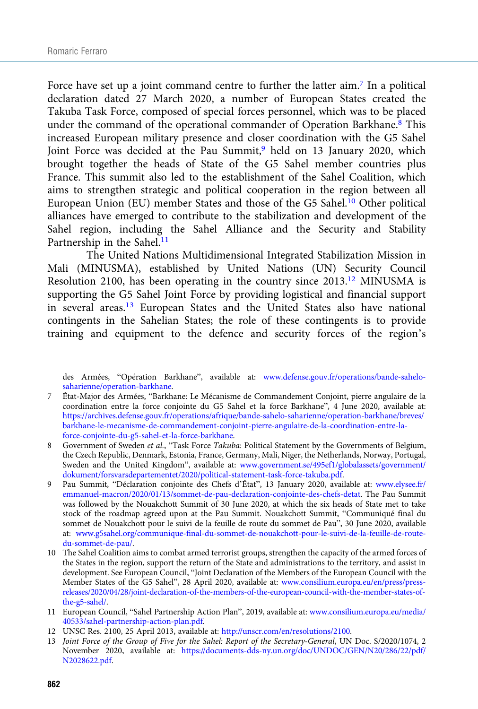Force have set up a joint command centre to further the latter aim.<sup>7</sup> In a political declaration dated 27 March 2020, a number of European States created the Takuba Task Force, composed of special forces personnel, which was to be placed under the command of the operational commander of Operation Barkhane.<sup>8</sup> This increased European military presence and closer coordination with the G5 Sahel Joint Force was decided at the Pau Summit,<sup>9</sup> held on 13 January 2020, which brought together the heads of State of the G5 Sahel member countries plus France. This summit also led to the establishment of the Sahel Coalition, which aims to strengthen strategic and political cooperation in the region between all European Union (EU) member States and those of the G5 Sahel.<sup>10</sup> Other political alliances have emerged to contribute to the stabilization and development of the Sahel region, including the Sahel Alliance and the Security and Stability Partnership in the Sahel.<sup>11</sup>

The United Nations Multidimensional Integrated Stabilization Mission in Mali (MINUSMA), established by United Nations (UN) Security Council Resolution 2100, has been operating in the country since 2013.12 MINUSMA is supporting the G5 Sahel Joint Force by providing logistical and financial support in several areas.13 European States and the United States also have national contingents in the Sahelian States; the role of these contingents is to provide training and equipment to the defence and security forces of the region's

des Armées, "Opération Barkhane", available at: [www.defense.gouv.fr/operations/bande-sahelo](https://www.defense.gouv.fr/operations/bande-sahelo-saharienne/operation-barkhane)[saharienne/operation-barkhane.](https://www.defense.gouv.fr/operations/bande-sahelo-saharienne/operation-barkhane)

- 7 État-Major des Armées, "Barkhane: Le Mécanisme de Commandement Conjoint, pierre angulaire de la coordination entre la force conjointe du G5 Sahel et la force Barkhane", 4 June 2020, available at: [https://archives.defense.gouv.fr/operations/afrique/bande-sahelo-saharienne/operation-barkhane/breves/](https://archives.defense.gouv.fr/operations/afrique/bande-sahelo-saharienne/operation-barkhane/breves/barkhane-le-mecanisme-de-commandement-conjoint-pierre-angulaire-de-la-coordination-entre-la-force-conjointe-du-g5-sahel-et-la-force-barkhane) [barkhane-le-mecanisme-de-commandement-conjoint-pierre-angulaire-de-la-coordination-entre-la](https://archives.defense.gouv.fr/operations/afrique/bande-sahelo-saharienne/operation-barkhane/breves/barkhane-le-mecanisme-de-commandement-conjoint-pierre-angulaire-de-la-coordination-entre-la-force-conjointe-du-g5-sahel-et-la-force-barkhane)[force-conjointe-du-g5-sahel-et-la-force-barkhane](https://archives.defense.gouv.fr/operations/afrique/bande-sahelo-saharienne/operation-barkhane/breves/barkhane-le-mecanisme-de-commandement-conjoint-pierre-angulaire-de-la-coordination-entre-la-force-conjointe-du-g5-sahel-et-la-force-barkhane).
- 8 Government of Sweden et al., "Task Force Takuba: Political Statement by the Governments of Belgium, the Czech Republic, Denmark, Estonia, France, Germany, Mali, Niger, the Netherlands, Norway, Portugal, Sweden and the United Kingdom", available at: [www.government.se/495ef1/globalassets/government/](http://www.government.se/495ef1/globalassets/government/dokument/forsvarsdepartementet/2020/political-statement-task-force-takuba.pdf) [dokument/forsvarsdepartementet/2020/political-statement-task-force-takuba.pdf.](http://www.government.se/495ef1/globalassets/government/dokument/forsvarsdepartementet/2020/political-statement-task-force-takuba.pdf)
- 9 Pau Summit, "Déclaration conjointe des Chefs d'État", 13 January 2020, available at: [www.elysee.fr/](https://www.elysee.fr/emmanuel-macron/2020/01/13/sommet-de-pau-declaration-conjointe-des-chefs-detat) [emmanuel-macron/2020/01/13/sommet-de-pau-declaration-conjointe-des-chefs-detat](https://www.elysee.fr/emmanuel-macron/2020/01/13/sommet-de-pau-declaration-conjointe-des-chefs-detat). The Pau Summit was followed by the Nouakchott Summit of 30 June 2020, at which the six heads of State met to take stock of the roadmap agreed upon at the Pau Summit. Nouakchott Summit, "Communiqué final du sommet de Nouakchott pour le suivi de la feuille de route du sommet de Pau", 30 June 2020, available at: [www.g5sahel.org/communique-final-du-sommet-de-nouakchott-pour-le-suivi-de-la-feuille-de-route](https://www.g5sahel.org/communique-final-du-sommet-de-nouakchott-pour-le-suivi-de-la-feuille-de-route-du-sommet-de-pau/)[du-sommet-de-pau/.](https://www.g5sahel.org/communique-final-du-sommet-de-nouakchott-pour-le-suivi-de-la-feuille-de-route-du-sommet-de-pau/)
- 10 The Sahel Coalition aims to combat armed terrorist groups, strengthen the capacity of the armed forces of the States in the region, support the return of the State and administrations to the territory, and assist in development. See European Council, "Joint Declaration of the Members of the European Council with the Member States of the G5 Sahel", 28 April 2020, available at: [www.consilium.europa.eu/en/press/press](http://www.consilium.europa.eu/en/press/press-releases/2020/04/28/joint-declaration-of-the-members-of-the-european-council-with-the-member-states-of-the-g5-sahel/)[releases/2020/04/28/joint-declaration-of-the-members-of-the-european-council-with-the-member-states-of](http://www.consilium.europa.eu/en/press/press-releases/2020/04/28/joint-declaration-of-the-members-of-the-european-council-with-the-member-states-of-the-g5-sahel/)[the-g5-sahel/.](http://www.consilium.europa.eu/en/press/press-releases/2020/04/28/joint-declaration-of-the-members-of-the-european-council-with-the-member-states-of-the-g5-sahel/)
- 11 European Council, "Sahel Partnership Action Plan", 2019, available at: [www.consilium.europa.eu/media/](https://www.consilium.europa.eu/media/40533/sahel-partnership-action-plan.pdf) [40533/sahel-partnership-action-plan.pdf](https://www.consilium.europa.eu/media/40533/sahel-partnership-action-plan.pdf).
- 12 UNSC Res. 2100, 25 April 2013, available at: [http://unscr.com/en/resolutions/2100.](http://unscr.com/en/resolutions/2100)
- 13 Joint Force of the Group of Five for the Sahel: Report of the Secretary-General, UN Doc. S/2020/1074, 2 November 2020, available at: [https://documents-dds-ny.un.org/doc/UNDOC/GEN/N20/286/22/pdf/](https://documents-dds-ny.un.org/doc/UNDOC/GEN/N20/286/22/pdf/N2028622.pdf) [N2028622.pdf.](https://documents-dds-ny.un.org/doc/UNDOC/GEN/N20/286/22/pdf/N2028622.pdf)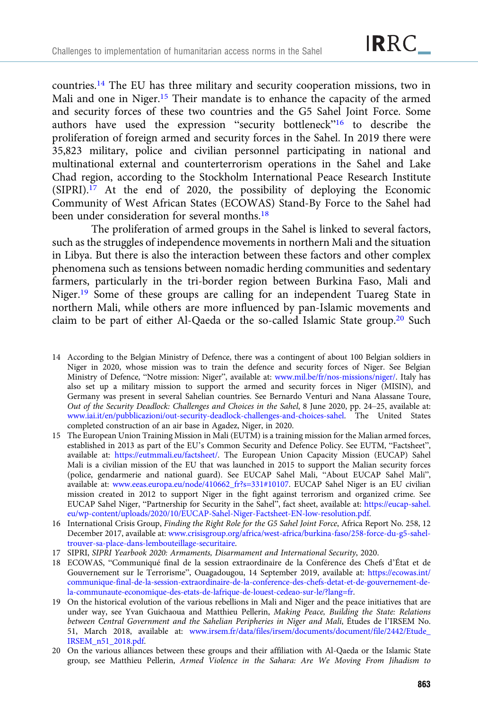countries.14 The EU has three military and security cooperation missions, two in Mali and one in Niger.<sup>15</sup> Their mandate is to enhance the capacity of the armed and security forces of these two countries and the G5 Sahel Joint Force. Some authors have used the expression "security bottleneck"<sup>16</sup> to describe the proliferation of foreign armed and security forces in the Sahel. In 2019 there were 35,823 military, police and civilian personnel participating in national and multinational external and counterterrorism operations in the Sahel and Lake Chad region, according to the Stockholm International Peace Research Institute (SIPRI).17 At the end of 2020, the possibility of deploying the Economic Community of West African States (ECOWAS) Stand-By Force to the Sahel had been under consideration for several months.<sup>18</sup>

The proliferation of armed groups in the Sahel is linked to several factors, such as the struggles of independence movements in northern Mali and the situation in Libya. But there is also the interaction between these factors and other complex phenomena such as tensions between nomadic herding communities and sedentary farmers, particularly in the tri-border region between Burkina Faso, Mali and Niger.19 Some of these groups are calling for an independent Tuareg State in northern Mali, while others are more influenced by pan-Islamic movements and claim to be part of either Al-Qaeda or the so-called Islamic State group.<sup>20</sup> Such

- 14 According to the Belgian Ministry of Defence, there was a contingent of about 100 Belgian soldiers in Niger in 2020, whose mission was to train the defence and security forces of Niger. See Belgian Ministry of Defence, "Notre mission: Niger", available at: [www.mil.be/fr/nos-missions/niger/.](https://www.mil.be/fr/nos-missions/niger/) Italy has also set up a military mission to support the armed and security forces in Niger (MISIN), and Germany was present in several Sahelian countries. See Bernardo Venturi and Nana Alassane Toure, Out of the Security Deadlock: Challenges and Choices in the Sahel, 8 June 2020, pp. 24–25, available at: [www.iai.it/en/pubblicazioni/out-security-deadlock-challenges-and-choices-sahel](https://www.iai.it/en/pubblicazioni/out-security-deadlock-challenges-and-choices-sahel). The United States completed construction of an air base in Agadez, Niger, in 2020.
- 15 The European Union Training Mission in Mali (EUTM) is a training mission for the Malian armed forces, established in 2013 as part of the EU's Common Security and Defence Policy. See EUTM, "Factsheet", available at: <https://eutmmali.eu/factsheet/>. The European Union Capacity Mission (EUCAP) Sahel Mali is a civilian mission of the EU that was launched in 2015 to support the Malian security forces (police, gendarmerie and national guard). See EUCAP Sahel Mali, "About EUCAP Sahel Mali", available at: [www.eeas.europa.eu/node/410662\\_fr?s=331#10107](https://www.eeas.europa.eu/node/410662_fr?s=331%2310107). EUCAP Sahel Niger is an EU civilian mission created in 2012 to support Niger in the fight against terrorism and organized crime. See EUCAP Sahel Niger, "Partnership for Security in the Sahel", fact sheet, available at: [https://eucap-sahel.](https://eucap-sahel.eu/wp-content/uploads/2020/10/EUCAP-Sahel-Niger-Factsheet-EN-low-resolution.pdf) [eu/wp-content/uploads/2020/10/EUCAP-Sahel-Niger-Factsheet-EN-low-resolution.pdf](https://eucap-sahel.eu/wp-content/uploads/2020/10/EUCAP-Sahel-Niger-Factsheet-EN-low-resolution.pdf).
- 16 International Crisis Group, Finding the Right Role for the G5 Sahel Joint Force, Africa Report No. 258, 12 December 2017, available at: [www.crisisgroup.org/africa/west-africa/burkina-faso/258-force-du-g5-sahel](http://www.crisisgroup.org/africa/west-africa/burkina-faso/258-force-du-g5-sahel-trouver-sa-place-dans-lembouteillage-securitaire)[trouver-sa-place-dans-lembouteillage-securitaire.](http://www.crisisgroup.org/africa/west-africa/burkina-faso/258-force-du-g5-sahel-trouver-sa-place-dans-lembouteillage-securitaire)
- 17 SIPRI, SIPRI Yearbook 2020: Armaments, Disarmament and International Security, 2020.
- 18 ECOWAS, "Communiqué final de la session extraordinaire de la Conférence des Chefs d'État et de Gouvernement sur le Terrorisme", Ouagadougou, 14 September 2019, available at: [https://ecowas.int/](https://ecowas.int/communique-final-de-la-session-extraordinaire-de-la-conference-des-chefs-detat-et-de-gouvernement-de-la-communaute-economique-des-etats-de-lafrique-de-louest-cedeao-sur-le/?lang=fr) [communique-final-de-la-session-extraordinaire-de-la-conference-des-chefs-detat-et-de-gouvernement-de](https://ecowas.int/communique-final-de-la-session-extraordinaire-de-la-conference-des-chefs-detat-et-de-gouvernement-de-la-communaute-economique-des-etats-de-lafrique-de-louest-cedeao-sur-le/?lang=fr)[la-communaute-economique-des-etats-de-lafrique-de-louest-cedeao-sur-le/?lang=fr.](https://ecowas.int/communique-final-de-la-session-extraordinaire-de-la-conference-des-chefs-detat-et-de-gouvernement-de-la-communaute-economique-des-etats-de-lafrique-de-louest-cedeao-sur-le/?lang=fr)
- 19 On the historical evolution of the various rebellions in Mali and Niger and the peace initiatives that are under way, see Yvan Guichaoua and Matthieu Pellerin, Making Peace, Building the State: Relations between Central Government and the Sahelian Peripheries in Niger and Mali, Études de l'IRSEM No. 51, March 2018, available at: [www.irsem.fr/data/files/irsem/documents/document/file/2442/Etude\\_](https://www.irsem.fr/data/files/irsem/documents/document/file/2442/Etude_IRSEM_n51_2018.pdf) [IRSEM\\_n51\\_2018.pdf](https://www.irsem.fr/data/files/irsem/documents/document/file/2442/Etude_IRSEM_n51_2018.pdf).
- 20 On the various alliances between these groups and their affiliation with Al-Qaeda or the Islamic State group, see Matthieu Pellerin, Armed Violence in the Sahara: Are We Moving From Jihadism to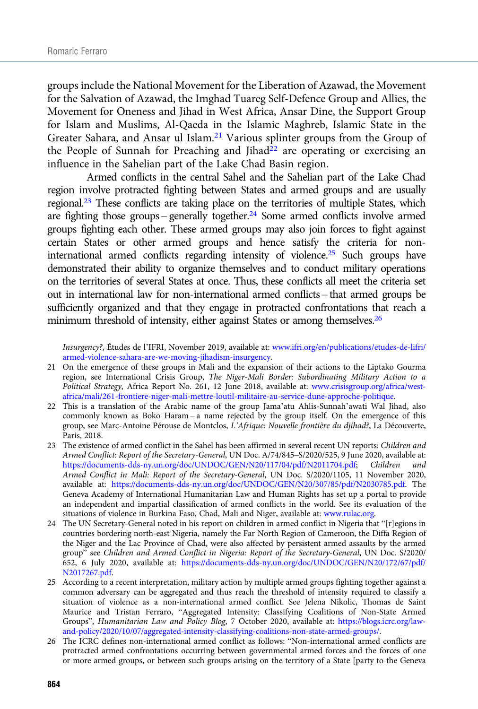groups include the National Movement for the Liberation of Azawad, the Movement for the Salvation of Azawad, the Imghad Tuareg Self-Defence Group and Allies, the Movement for Oneness and Jihad in West Africa, Ansar Dine, the Support Group for Islam and Muslims, Al-Qaeda in the Islamic Maghreb, Islamic State in the Greater Sahara, and Ansar ul Islam.<sup>21</sup> Various splinter groups from the Group of the People of Sunnah for Preaching and Jihad<sup>22</sup> are operating or exercising an influence in the Sahelian part of the Lake Chad Basin region.

Armed conflicts in the central Sahel and the Sahelian part of the Lake Chad region involve protracted fighting between States and armed groups and are usually regional.23 These conflicts are taking place on the territories of multiple States, which are fighting those groups – generally together.24 Some armed conflicts involve armed groups fighting each other. These armed groups may also join forces to fight against certain States or other armed groups and hence satisfy the criteria for noninternational armed conflicts regarding intensity of violence.25 Such groups have demonstrated their ability to organize themselves and to conduct military operations on the territories of several States at once. Thus, these conflicts all meet the criteria set out in international law for non-international armed conflicts – that armed groups be sufficiently organized and that they engage in protracted confrontations that reach a minimum threshold of intensity, either against States or among themselves.<sup>26</sup>

Insurgency?, Études de l'IFRI, November 2019, available at: [www.ifri.org/en/publications/etudes-de-lifri/](http://www.ifri.org/en/publications/etudes-de-lifri/armed-violence-sahara-are-we-moving-jihadism-insurgency) [armed-violence-sahara-are-we-moving-jihadism-insurgency.](http://www.ifri.org/en/publications/etudes-de-lifri/armed-violence-sahara-are-we-moving-jihadism-insurgency)

- 21 On the emergence of these groups in Mali and the expansion of their actions to the Liptako Gourma region, see International Crisis Group, The Niger-Mali Border: Subordinating Military Action to a Political Strategy, Africa Report No. 261, 12 June 2018, available at: [www.crisisgroup.org/africa/west](http://www.crisisgroup.org/africa/west-africa/mali/261-frontiere-niger-mali-mettre-loutil-militaire-au-service-dune-approche-politique)[africa/mali/261-frontiere-niger-mali-mettre-loutil-militaire-au-service-dune-approche-politique.](http://www.crisisgroup.org/africa/west-africa/mali/261-frontiere-niger-mali-mettre-loutil-militaire-au-service-dune-approche-politique)
- 22 This is a translation of the Arabic name of the group Jama'atu Ahlis-Sunnah'awati Wal Jihad, also commonly known as Boko Haram – a name rejected by the group itself. On the emergence of this group, see Marc-Antoine Pérouse de Montclos, L'Afrique: Nouvelle frontière du djihad?, La Découverte, Paris, 2018.
- 23 The existence of armed conflict in the Sahel has been affirmed in several recent UN reports: Children and Armed Conflict: Report of the Secretary-General, UN Doc. A/74/845–S/2020/525, 9 June 2020, available at: <https://documents-dds-ny.un.org/doc/UNDOC/GEN/N20/117/04/pdf/N2011704.pdf>; Children Armed Conflict in Mali: Report of the Secretary-General, UN Doc. S/2020/1105, 11 November 2020, available at: <https://documents-dds-ny.un.org/doc/UNDOC/GEN/N20/307/85/pdf/N2030785.pdf>. The Geneva Academy of International Humanitarian Law and Human Rights has set up a portal to provide an independent and impartial classification of armed conflicts in the world. See its evaluation of the situations of violence in Burkina Faso, Chad, Mali and Niger, available at: [www.rulac.org.](https://www.rulac.org)
- 24 The UN Secretary-General noted in his report on children in armed conflict in Nigeria that "[r]egions in countries bordering north-east Nigeria, namely the Far North Region of Cameroon, the Diffa Region of the Niger and the Lac Province of Chad, were also affected by persistent armed assaults by the armed group" see Children and Armed Conflict in Nigeria: Report of the Secretary-General, UN Doc. S/2020/ 652, 6 July 2020, available at: [https://documents-dds-ny.un.org/doc/UNDOC/GEN/N20/172/67/pdf/](https://documents-dds-ny.un.org/doc/UNDOC/GEN/N20/172/67/pdf/N2017267.pdf) [N2017267.pdf.](https://documents-dds-ny.un.org/doc/UNDOC/GEN/N20/172/67/pdf/N2017267.pdf)
- 25 According to a recent interpretation, military action by multiple armed groups fighting together against a common adversary can be aggregated and thus reach the threshold of intensity required to classify a situation of violence as a non-international armed conflict. See Jelena Nikolic, Thomas de Saint Maurice and Tristan Ferraro, "Aggregated Intensity: Classifying Coalitions of Non-State Armed Groups", Humanitarian Law and Policy Blog, 7 October 2020, available at: [https://blogs.icrc.org/law](https://blogs.icrc.org/law-and-policy/2020/10/07/aggregated-intensity-classifying-coalitions-non-state-armed-groups/)[and-policy/2020/10/07/aggregated-intensity-classifying-coalitions-non-state-armed-groups/.](https://blogs.icrc.org/law-and-policy/2020/10/07/aggregated-intensity-classifying-coalitions-non-state-armed-groups/)
- 26 The ICRC defines non-international armed conflict as follows: "Non-international armed conflicts are protracted armed confrontations occurring between governmental armed forces and the forces of one or more armed groups, or between such groups arising on the territory of a State [party to the Geneva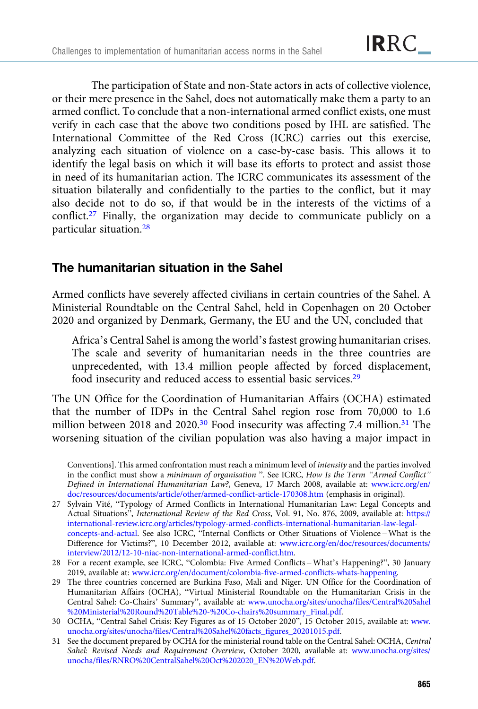The participation of State and non-State actors in acts of collective violence, or their mere presence in the Sahel, does not automatically make them a party to an armed conflict. To conclude that a non-international armed conflict exists, one must verify in each case that the above two conditions posed by IHL are satisfied. The International Committee of the Red Cross (ICRC) carries out this exercise, analyzing each situation of violence on a case-by-case basis. This allows it to identify the legal basis on which it will base its efforts to protect and assist those in need of its humanitarian action. The ICRC communicates its assessment of the situation bilaterally and confidentially to the parties to the conflict, but it may also decide not to do so, if that would be in the interests of the victims of a conflict.27 Finally, the organization may decide to communicate publicly on a particular situation.28

# The humanitarian situation in the Sahel

Armed conflicts have severely affected civilians in certain countries of the Sahel. A Ministerial Roundtable on the Central Sahel, held in Copenhagen on 20 October 2020 and organized by Denmark, Germany, the EU and the UN, concluded that

Africa's Central Sahel is among the world's fastest growing humanitarian crises. The scale and severity of humanitarian needs in the three countries are unprecedented, with 13.4 million people affected by forced displacement, food insecurity and reduced access to essential basic services.<sup>29</sup>

The UN Office for the Coordination of Humanitarian Affairs (OCHA) estimated that the number of IDPs in the Central Sahel region rose from 70,000 to 1.6 million between 2018 and 2020.<sup>30</sup> Food insecurity was affecting 7.4 million.<sup>31</sup> The worsening situation of the civilian population was also having a major impact in

Conventions]. This armed confrontation must reach a minimum level of intensity and the parties involved in the conflict must show a minimum of organisation ". See ICRC, How Is the Term "Armed Conflict" Defined in International Humanitarian Law?, Geneva, 17 March 2008, available at: [www.icrc.org/en/](https://www.icrc.org/en/doc/resources/documents/article/other/armed-conflict-article-170308.htm) [doc/resources/documents/article/other/armed-conflict-article-170308.htm](https://www.icrc.org/en/doc/resources/documents/article/other/armed-conflict-article-170308.htm) (emphasis in original).

<sup>27</sup> Sylvain Vité, "Typology of Armed Conflicts in International Humanitarian Law: Legal Concepts and Actual Situations", International Review of the Red Cross, Vol. 91, No. 876, 2009, available at: [https://](https://international-review.icrc.org/articles/typology-armed-conflicts-international-humanitarian-law-legal-concepts-and-actual) [international-review.icrc.org/articles/typology-armed-conflicts-international-humanitarian-law-legal](https://international-review.icrc.org/articles/typology-armed-conflicts-international-humanitarian-law-legal-concepts-and-actual)[concepts-and-actual](https://international-review.icrc.org/articles/typology-armed-conflicts-international-humanitarian-law-legal-concepts-and-actual). See also ICRC, "Internal Conflicts or Other Situations of Violence – What is the Difference for Victims?", 10 December 2012, available at: [www.icrc.org/en/doc/resources/documents/](http://www.icrc.org/en/doc/resources/documents/interview/2012/12-10-niac-non-international-armed-conflict.htm) [interview/2012/12-10-niac-non-international-armed-conflict.htm.](http://www.icrc.org/en/doc/resources/documents/interview/2012/12-10-niac-non-international-armed-conflict.htm)

<sup>28</sup> For a recent example, see ICRC, "Colombia: Five Armed Conflicts – What's Happening?", 30 January 2019, available at: [www.icrc.org/en/document/colombia-five-armed-conflicts-whats-happening.](https://www.icrc.org/en/document/colombia-five-armed-conflicts-whats-happening)

<sup>29</sup> The three countries concerned are Burkina Faso, Mali and Niger. UN Office for the Coordination of Humanitarian Affairs (OCHA), "Virtual Ministerial Roundtable on the Humanitarian Crisis in the Central Sahel: Co-Chairs' Summary", available at: [www.unocha.org/sites/unocha/files/Central%20Sahel](http://www.unocha.org/sites/unocha/files/Central%20Sahel%20Ministerial%20Round%20Table%20-%20Co-chairs%20summary_Final.pdf) [%20Ministerial%20Round%20Table%20-%20Co-chairs%20summary\\_Final.pdf.](http://www.unocha.org/sites/unocha/files/Central%20Sahel%20Ministerial%20Round%20Table%20-%20Co-chairs%20summary_Final.pdf)

<sup>30</sup> OCHA, "Central Sahel Crisis: Key Figures as of 15 October 2020", 15 October 2015, available at: [www.](https://www.unocha.org/sites/unocha/files/Central%20Sahel%20facts_figures_20201015.pdf) [unocha.org/sites/unocha/files/Central%20Sahel%20facts\\_figures\\_20201015.pdf](https://www.unocha.org/sites/unocha/files/Central%20Sahel%20facts_figures_20201015.pdf).

<sup>31</sup> See the document prepared by OCHA for the ministerial round table on the Central Sahel: OCHA, Central Sahel: Revised Needs and Requirement Overview, October 2020, available at: [www.unocha.org/sites/](https://www.unocha.org/sites/unocha/files/RNRO%20CentralSahel%20Oct%202020_EN%20Web.pdf) [unocha/files/RNRO%20CentralSahel%20Oct%202020\\_EN%20Web.pdf](https://www.unocha.org/sites/unocha/files/RNRO%20CentralSahel%20Oct%202020_EN%20Web.pdf).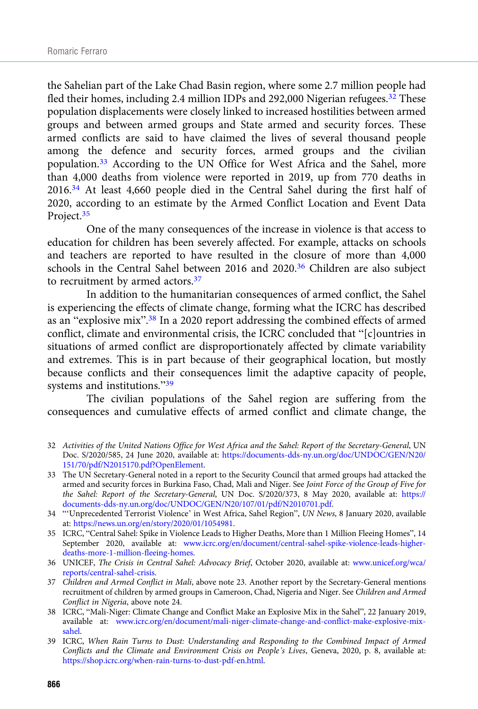the Sahelian part of the Lake Chad Basin region, where some 2.7 million people had fled their homes, including 2.4 million IDPs and 292,000 Nigerian refugees.<sup>32</sup> These population displacements were closely linked to increased hostilities between armed groups and between armed groups and State armed and security forces. These armed conflicts are said to have claimed the lives of several thousand people among the defence and security forces, armed groups and the civilian population.<sup>33</sup> According to the UN Office for West Africa and the Sahel, more than 4,000 deaths from violence were reported in 2019, up from 770 deaths in 2016.34 At least 4,660 people died in the Central Sahel during the first half of 2020, according to an estimate by the Armed Conflict Location and Event Data Project.<sup>35</sup>

One of the many consequences of the increase in violence is that access to education for children has been severely affected. For example, attacks on schools and teachers are reported to have resulted in the closure of more than 4,000 schools in the Central Sahel between 2016 and 2020.<sup>36</sup> Children are also subject to recruitment by armed actors.<sup>37</sup>

In addition to the humanitarian consequences of armed conflict, the Sahel is experiencing the effects of climate change, forming what the ICRC has described as an "explosive mix".<sup>38</sup> In a 2020 report addressing the combined effects of armed conflict, climate and environmental crisis, the ICRC concluded that "[c]ountries in situations of armed conflict are disproportionately affected by climate variability and extremes. This is in part because of their geographical location, but mostly because conflicts and their consequences limit the adaptive capacity of people, systems and institutions."<sup>39</sup>

The civilian populations of the Sahel region are suffering from the consequences and cumulative effects of armed conflict and climate change, the

- 32 Activities of the United Nations Office for West Africa and the Sahel: Report of the Secretary-General, UN Doc. S/2020/585, 24 June 2020, available at: [https://documents-dds-ny.un.org/doc/UNDOC/GEN/N20/](https://documents-dds-ny.un.org/doc/UNDOC/GEN/N20/151/70/pdf/N2015170.pdf?OpenElement) [151/70/pdf/N2015170.pdf?OpenElement.](https://documents-dds-ny.un.org/doc/UNDOC/GEN/N20/151/70/pdf/N2015170.pdf?OpenElement)
- 33 The UN Secretary-General noted in a report to the Security Council that armed groups had attacked the armed and security forces in Burkina Faso, Chad, Mali and Niger. See Joint Force of the Group of Five for the Sahel: Report of the Secretary-General, UN Doc. S/2020/373, 8 May 2020, available at: [https://](https://documents-dds-ny.un.org/doc/UNDOC/GEN/N20/107/01/pdf/N2010701.pdf) [documents-dds-ny.un.org/doc/UNDOC/GEN/N20/107/01/pdf/N2010701.pdf.](https://documents-dds-ny.un.org/doc/UNDOC/GEN/N20/107/01/pdf/N2010701.pdf)
- 34 "'Unprecedented Terrorist Violence' in West Africa, Sahel Region", UN News, 8 January 2020, available at: <https://news.un.org/en/story/2020/01/1054981>.
- 35 ICRC, "Central Sahel: Spike in Violence Leads to Higher Deaths, More than 1 Million Fleeing Homes", 14 September 2020, available at: [www.icrc.org/en/document/central-sahel-spike-violence-leads-higher](http://www.icrc.org/en/document/central-sahel-spike-violence-leads-higher-deaths-more-1-million-fleeing-homes)[deaths-more-1-million-fleeing-homes.](http://www.icrc.org/en/document/central-sahel-spike-violence-leads-higher-deaths-more-1-million-fleeing-homes)
- 36 UNICEF, The Crisis in Central Sahel: Advocacy Brief, October 2020, available at: [www.unicef.org/wca/](https://www.unicef.org/wca/reports/central-sahel-crisis) [reports/central-sahel-crisis](https://www.unicef.org/wca/reports/central-sahel-crisis).
- 37 Children and Armed Conflict in Mali, above note 23. Another report by the Secretary-General mentions recruitment of children by armed groups in Cameroon, Chad, Nigeria and Niger. See Children and Armed Conflict in Nigeria, above note 24.
- 38 ICRC, "Mali-Niger: Climate Change and Conflict Make an Explosive Mix in the Sahel", 22 January 2019, available at: [www.icrc.org/en/document/mali-niger-climate-change-and-conflict-make-explosive-mix](https://www.icrc.org/en/document/mali-niger-climate-change-and-conflict-make-explosive-mix-sahel)[sahel](https://www.icrc.org/en/document/mali-niger-climate-change-and-conflict-make-explosive-mix-sahel).
- 39 ICRC, When Rain Turns to Dust: Understanding and Responding to the Combined Impact of Armed Conflicts and the Climate and Environment Crisis on People's Lives, Geneva, 2020, p. 8, available at: <https://shop.icrc.org/when-rain-turns-to-dust-pdf-en.html>.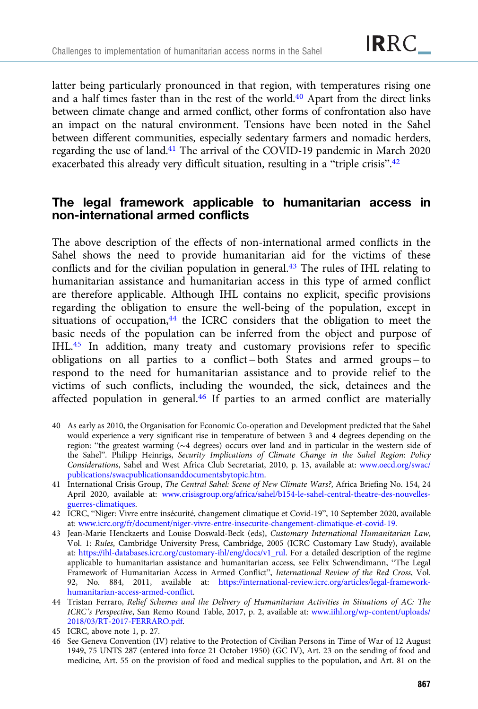latter being particularly pronounced in that region, with temperatures rising one and a half times faster than in the rest of the world.<sup>40</sup> Apart from the direct links between climate change and armed conflict, other forms of confrontation also have an impact on the natural environment. Tensions have been noted in the Sahel between different communities, especially sedentary farmers and nomadic herders, regarding the use of land.41 The arrival of the COVID-19 pandemic in March 2020 exacerbated this already very difficult situation, resulting in a "triple crisis".<sup>42</sup>

## The legal framework applicable to humanitarian access in non-international armed conflicts

The above description of the effects of non-international armed conflicts in the Sahel shows the need to provide humanitarian aid for the victims of these conflicts and for the civilian population in general.<sup>43</sup> The rules of IHL relating to humanitarian assistance and humanitarian access in this type of armed conflict are therefore applicable. Although IHL contains no explicit, specific provisions regarding the obligation to ensure the well-being of the population, except in situations of occupation,<sup>44</sup> the ICRC considers that the obligation to meet the basic needs of the population can be inferred from the object and purpose of IHL.45 In addition, many treaty and customary provisions refer to specific obligations on all parties to a conflict – both States and armed groups – to respond to the need for humanitarian assistance and to provide relief to the victims of such conflicts, including the wounded, the sick, detainees and the affected population in general.<sup>46</sup> If parties to an armed conflict are materially

- 40 As early as 2010, the Organisation for Economic Co-operation and Development predicted that the Sahel would experience a very significant rise in temperature of between 3 and 4 degrees depending on the region: "the greatest warming (∼4 degrees) occurs over land and in particular in the western side of the Sahel". Philipp Heinrigs, Security Implications of Climate Change in the Sahel Region: Policy Considerations, Sahel and West Africa Club Secretariat, 2010, p. 13, available at: [www.oecd.org/swac/](https://www.oecd.org/swac/publications/swacpublicationsanddocumentsbytopic.htm) [publications/swacpublicationsanddocumentsbytopic.htm.](https://www.oecd.org/swac/publications/swacpublicationsanddocumentsbytopic.htm)
- 41 International Crisis Group, The Central Sahel: Scene of New Climate Wars?, Africa Briefing No. 154, 24 April 2020, available at: [www.crisisgroup.org/africa/sahel/b154-le-sahel-central-theatre-des-nouvelles](https://www.crisisgroup.org/africa/sahel/b154-le-sahel-central-theatre-des-nouvelles-guerres-climatiques)[guerres-climatiques](https://www.crisisgroup.org/africa/sahel/b154-le-sahel-central-theatre-des-nouvelles-guerres-climatiques).
- 42 ICRC, "Niger: Vivre entre insécurité, changement climatique et Covid-19", 10 September 2020, available at: [www.icrc.org/fr/document/niger-vivre-entre-insecurite-changement-climatique-et-covid-19](https://www.icrc.org/fr/document/niger-vivre-entre-insecurite-changement-climatique-et-covid-19).
- 43 Jean-Marie Henckaerts and Louise Doswald-Beck (eds), Customary International Humanitarian Law, Vol. 1: Rules, Cambridge University Press, Cambridge, 2005 (ICRC Customary Law Study), available at: [https://ihl-databases.icrc.org/customary-ihl/eng/docs/v1\\_rul](https://ihl-databases.icrc.org/customary-ihl/eng/docs/v1_rul). For a detailed description of the regime applicable to humanitarian assistance and humanitarian access, see Felix Schwendimann, "The Legal Framework of Humanitarian Access in Armed Conflict", International Review of the Red Cross, Vol. 92, No. 884, 2011, available at: [https://international-review.icrc.org/articles/legal-framework](https://international-review.icrc.org/articles/legal-framework-humanitarian-access-armed-conflict)[humanitarian-access-armed-conflict](https://international-review.icrc.org/articles/legal-framework-humanitarian-access-armed-conflict).
- 44 Tristan Ferraro, Relief Schemes and the Delivery of Humanitarian Activities in Situations of AC: The ICRC's Perspective, San Remo Round Table, 2017, p. 2, available at: [www.iihl.org/wp-content/uploads/](https://www.iihl.org/wp-content/uploads/2018/03/RT-2017-FERRARO.pdf) [2018/03/RT-2017-FERRARO.pdf.](https://www.iihl.org/wp-content/uploads/2018/03/RT-2017-FERRARO.pdf)
- 45 ICRC, above note 1, p. 27.
- 46 See Geneva Convention (IV) relative to the Protection of Civilian Persons in Time of War of 12 August 1949, 75 UNTS 287 (entered into force 21 October 1950) (GC IV), Art. 23 on the sending of food and medicine, Art. 55 on the provision of food and medical supplies to the population, and Art. 81 on the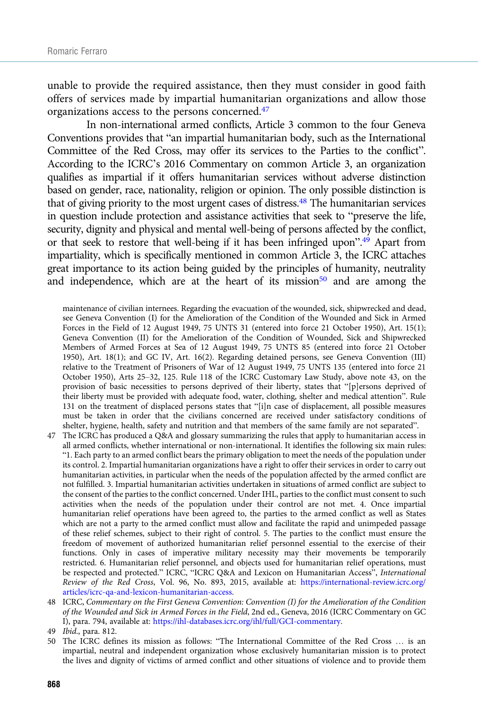unable to provide the required assistance, then they must consider in good faith offers of services made by impartial humanitarian organizations and allow those organizations access to the persons concerned.47

In non-international armed conflicts, Article 3 common to the four Geneva Conventions provides that "an impartial humanitarian body, such as the International Committee of the Red Cross, may offer its services to the Parties to the conflict". According to the ICRC's 2016 Commentary on common Article 3, an organization qualifies as impartial if it offers humanitarian services without adverse distinction based on gender, race, nationality, religion or opinion. The only possible distinction is that of giving priority to the most urgent cases of distress.<sup>48</sup> The humanitarian services in question include protection and assistance activities that seek to "preserve the life, security, dignity and physical and mental well-being of persons affected by the conflict, or that seek to restore that well-being if it has been infringed upon".<sup>49</sup> Apart from impartiality, which is specifically mentioned in common Article 3, the ICRC attaches great importance to its action being guided by the principles of humanity, neutrality and independence, which are at the heart of its mission $50$  and are among the

maintenance of civilian internees. Regarding the evacuation of the wounded, sick, shipwrecked and dead, see Geneva Convention (I) for the Amelioration of the Condition of the Wounded and Sick in Armed Forces in the Field of 12 August 1949, 75 UNTS 31 (entered into force 21 October 1950), Art. 15(1); Geneva Convention (II) for the Amelioration of the Condition of Wounded, Sick and Shipwrecked Members of Armed Forces at Sea of 12 August 1949, 75 UNTS 85 (entered into force 21 October 1950), Art. 18(1); and GC IV, Art. 16(2). Regarding detained persons, see Geneva Convention (III) relative to the Treatment of Prisoners of War of 12 August 1949, 75 UNTS 135 (entered into force 21 October 1950), Arts 25–32, 125. Rule 118 of the ICRC Customary Law Study, above note 43, on the provision of basic necessities to persons deprived of their liberty, states that "[p]ersons deprived of their liberty must be provided with adequate food, water, clothing, shelter and medical attention". Rule 131 on the treatment of displaced persons states that "[i]n case of displacement, all possible measures must be taken in order that the civilians concerned are received under satisfactory conditions of shelter, hygiene, health, safety and nutrition and that members of the same family are not separated".

47 The ICRC has produced a Q&A and glossary summarizing the rules that apply to humanitarian access in all armed conflicts, whether international or non-international. It identifies the following six main rules: "1. Each party to an armed conflict bears the primary obligation to meet the needs of the population under its control. 2. Impartial humanitarian organizations have a right to offer their services in order to carry out humanitarian activities, in particular when the needs of the population affected by the armed conflict are not fulfilled. 3. Impartial humanitarian activities undertaken in situations of armed conflict are subject to the consent of the parties to the conflict concerned. Under IHL, parties to the conflict must consent to such activities when the needs of the population under their control are not met. 4. Once impartial humanitarian relief operations have been agreed to, the parties to the armed conflict as well as States which are not a party to the armed conflict must allow and facilitate the rapid and unimpeded passage of these relief schemes, subject to their right of control. 5. The parties to the conflict must ensure the freedom of movement of authorized humanitarian relief personnel essential to the exercise of their functions. Only in cases of imperative military necessity may their movements be temporarily restricted. 6. Humanitarian relief personnel, and objects used for humanitarian relief operations, must be respected and protected." ICRC, "ICRC Q&A and Lexicon on Humanitarian Access", International Review of the Red Cross, Vol. 96, No. 893, 2015, available at: [https://international-review.icrc.org/](https://international-review.icrc.org/articles/icrc-qa-and-lexicon-humanitarian-access) [articles/icrc-qa-and-lexicon-humanitarian-access](https://international-review.icrc.org/articles/icrc-qa-and-lexicon-humanitarian-access).

48 ICRC, Commentary on the First Geneva Convention: Convention (I) for the Amelioration of the Condition of the Wounded and Sick in Armed Forces in the Field, 2nd ed., Geneva, 2016 (ICRC Commentary on GC I), para. 794, available at: <https://ihl-databases.icrc.org/ihl/full/GCI-commentary>.

50 The ICRC defines its mission as follows: "The International Committee of the Red Cross … is an impartial, neutral and independent organization whose exclusively humanitarian mission is to protect the lives and dignity of victims of armed conflict and other situations of violence and to provide them

<sup>49</sup> Ibid., para. 812.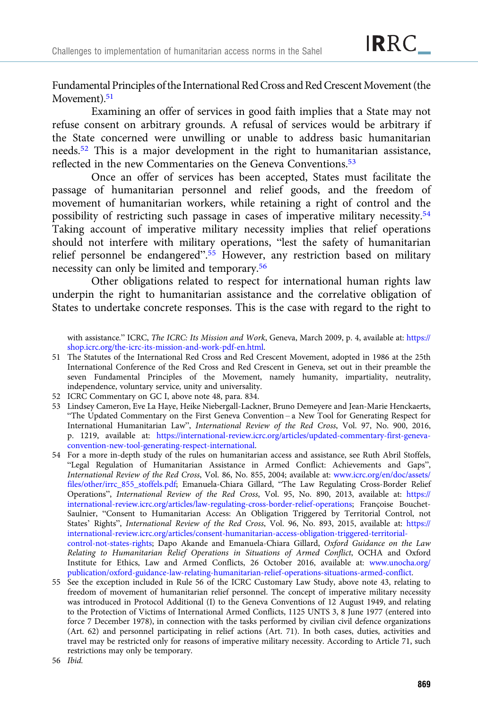Fundamental Principles of the International Red Cross and Red CrescentMovement (the Movement).<sup>51</sup>

Examining an offer of services in good faith implies that a State may not refuse consent on arbitrary grounds. A refusal of services would be arbitrary if the State concerned were unwilling or unable to address basic humanitarian needs.52 This is a major development in the right to humanitarian assistance, reflected in the new Commentaries on the Geneva Conventions.<sup>53</sup>

Once an offer of services has been accepted, States must facilitate the passage of humanitarian personnel and relief goods, and the freedom of movement of humanitarian workers, while retaining a right of control and the possibility of restricting such passage in cases of imperative military necessity.54 Taking account of imperative military necessity implies that relief operations should not interfere with military operations, "lest the safety of humanitarian relief personnel be endangered".<sup>55</sup> However, any restriction based on military necessity can only be limited and temporary.<sup>56</sup>

Other obligations related to respect for international human rights law underpin the right to humanitarian assistance and the correlative obligation of States to undertake concrete responses. This is the case with regard to the right to

with assistance." ICRC, The ICRC: Its Mission and Work, Geneva, March 2009, p. 4, available at: [https://](https://shop.icrc.org/the-icrc-its-mission-and-work-pdf-en.html) [shop.icrc.org/the-icrc-its-mission-and-work-pdf-en.html](https://shop.icrc.org/the-icrc-its-mission-and-work-pdf-en.html).

- 51 The Statutes of the International Red Cross and Red Crescent Movement, adopted in 1986 at the 25th International Conference of the Red Cross and Red Crescent in Geneva, set out in their preamble the seven Fundamental Principles of the Movement, namely humanity, impartiality, neutrality, independence, voluntary service, unity and universality.
- 52 ICRC Commentary on GC I, above note 48, para. 834.
- 53 Lindsey Cameron, Eve La Haye, Heike Niebergall-Lackner, Bruno Demeyere and Jean-Marie Henckaerts, "The Updated Commentary on the First Geneva Convention – a New Tool for Generating Respect for International Humanitarian Law", International Review of the Red Cross, Vol. 97, No. 900, 2016, p. 1219, available at: [https://international-review.icrc.org/articles/updated-commentary-first-geneva](https://international-review.icrc.org/articles/updated-commentary-first-geneva-convention-new-tool-generating-respect-international)[convention-new-tool-generating-respect-international](https://international-review.icrc.org/articles/updated-commentary-first-geneva-convention-new-tool-generating-respect-international).
- 54 For a more in-depth study of the rules on humanitarian access and assistance, see Ruth Abril Stoffels, "Legal Regulation of Humanitarian Assistance in Armed Conflict: Achievements and Gaps", International Review of the Red Cross, Vol. 86, No. 855, 2004; available at: [www.icrc.org/en/doc/assets/](https://www.icrc.org/en/doc/assets/files/other/irrc_855_stoffels.pdf) [files/other/irrc\\_855\\_stoffels.pdf;](https://www.icrc.org/en/doc/assets/files/other/irrc_855_stoffels.pdf) Emanuela-Chiara Gillard, "The Law Regulating Cross-Border Relief Operations", International Review of the Red Cross, Vol. 95, No. 890, 2013, available at: [https://](https://international-review.icrc.org/articles/law-regulating-cross-border-relief-operations) [international-review.icrc.org/articles/law-regulating-cross-border-relief-operations;](https://international-review.icrc.org/articles/law-regulating-cross-border-relief-operations) Françoise Bouchet-Saulnier, "Consent to Humanitarian Access: An Obligation Triggered by Territorial Control, not States' Rights", International Review of the Red Cross, Vol. 96, No. 893, 2015, available at: [https://](https://international-review.icrc.org/articles/consent-humanitarian-access-obligation-triggered-territorial-control-not-states-rights) [international-review.icrc.org/articles/consent-humanitarian-access-obligation-triggered-territorial](https://international-review.icrc.org/articles/consent-humanitarian-access-obligation-triggered-territorial-control-not-states-rights)[control-not-states-rights;](https://international-review.icrc.org/articles/consent-humanitarian-access-obligation-triggered-territorial-control-not-states-rights) Dapo Akande and Emanuela-Chiara Gillard, Oxford Guidance on the Law Relating to Humanitarian Relief Operations in Situations of Armed Conflict, OCHA and Oxford Institute for Ethics, Law and Armed Conflicts, 26 October 2016, available at: [www.unocha.org/](http://www.unocha.org/publication/oxford-guidance-law-relating-humanitarian-relief-operations-situations-armed-conflict) [publication/oxford-guidance-law-relating-humanitarian-relief-operations-situations-armed-conflict](http://www.unocha.org/publication/oxford-guidance-law-relating-humanitarian-relief-operations-situations-armed-conflict).
- 55 See the exception included in Rule 56 of the ICRC Customary Law Study, above note 43, relating to freedom of movement of humanitarian relief personnel. The concept of imperative military necessity was introduced in Protocol Additional (I) to the Geneva Conventions of 12 August 1949, and relating to the Protection of Victims of International Armed Conflicts, 1125 UNTS 3, 8 June 1977 (entered into force 7 December 1978), in connection with the tasks performed by civilian civil defence organizations (Art. 62) and personnel participating in relief actions (Art. 71). In both cases, duties, activities and travel may be restricted only for reasons of imperative military necessity. According to Article 71, such restrictions may only be temporary.

56 Ibid.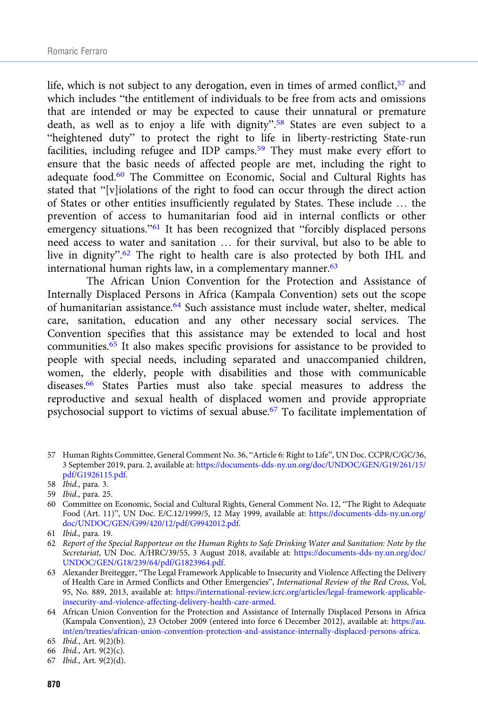life, which is not subject to any derogation, even in times of armed conflict,  $57$  and which includes "the entitlement of individuals to be free from acts and omissions that are intended or may be expected to cause their unnatural or premature death, as well as to enjoy a life with dignity".<sup>58</sup> States are even subject to a "heightened duty" to protect the right to life in liberty-restricting State-run facilities, including refugee and IDP camps.59 They must make every effort to ensure that the basic needs of affected people are met, including the right to adequate food.60 The Committee on Economic, Social and Cultural Rights has stated that "[v]iolations of the right to food can occur through the direct action of States or other entities insufficiently regulated by States. These include … the prevention of access to humanitarian food aid in internal conflicts or other emergency situations."<sup>61</sup> It has been recognized that "forcibly displaced persons need access to water and sanitation … for their survival, but also to be able to live in dignity".<sup>62</sup> The right to health care is also protected by both IHL and international human rights law, in a complementary manner.<sup>63</sup>

The African Union Convention for the Protection and Assistance of Internally Displaced Persons in Africa (Kampala Convention) sets out the scope of humanitarian assistance.<sup>64</sup> Such assistance must include water, shelter, medical care, sanitation, education and any other necessary social services. The Convention specifies that this assistance may be extended to local and host communities.<sup>65</sup> It also makes specific provisions for assistance to be provided to people with special needs, including separated and unaccompanied children, women, the elderly, people with disabilities and those with communicable diseases.66 States Parties must also take special measures to address the reproductive and sexual health of displaced women and provide appropriate psychosocial support to victims of sexual abuse.67 To facilitate implementation of

<sup>57</sup> Human Rights Committee, General Comment No. 36, "Article 6: Right to Life", UN Doc. CCPR/C/GC/36, 3 September 2019, para. 2, available at: [https://documents-dds-ny.un.org/doc/UNDOC/GEN/G19/261/15/](https://documents-dds-ny.un.org/doc/UNDOC/GEN/G19/261/15/pdf/G1926115.pdf) [pdf/G1926115.pdf](https://documents-dds-ny.un.org/doc/UNDOC/GEN/G19/261/15/pdf/G1926115.pdf).

<sup>58</sup> Ibid., para. 3.

<sup>59</sup> Ibid., para. 25.

<sup>60</sup> Committee on Economic, Social and Cultural Rights, General Comment No. 12, "The Right to Adequate Food (Art. 11)", UN Doc. E/C.12/1999/5, 12 May 1999, available at: [https://documents-dds-ny.un.org/](https://documents-dds-ny.un.org/doc/UNDOC/GEN/G99/420/12/pdf/G9942012.pdf) [doc/UNDOC/GEN/G99/420/12/pdf/G9942012.pdf](https://documents-dds-ny.un.org/doc/UNDOC/GEN/G99/420/12/pdf/G9942012.pdf).

<sup>61</sup> Ibid., para. 19.

<sup>62</sup> Report of the Special Rapporteur on the Human Rights to Safe Drinking Water and Sanitation: Note by the Secretariat, UN Doc. A/HRC/39/55, 3 August 2018, available at: [https://documents-dds-ny.un.org/doc/](https://documents-dds-ny.un.org/doc/UNDOC/GEN/G18/239/64/pdf/G1823964.pdf) [UNDOC/GEN/G18/239/64/pdf/G1823964.pdf](https://documents-dds-ny.un.org/doc/UNDOC/GEN/G18/239/64/pdf/G1823964.pdf).

<sup>63</sup> Alexander Breitegger, "The Legal Framework Applicable to Insecurity and Violence Affecting the Delivery of Health Care in Armed Conflicts and Other Emergencies", International Review of the Red Cross, Vol, 95, No. 889, 2013, available at: [https://international-review.icrc.org/articles/legal-framework-applicable](https://international-review.icrc.org/articles/legal-framework-applicable-insecurity-and-violence-affecting-delivery-health-care-armed)[insecurity-and-violence-affecting-delivery-health-care-armed.](https://international-review.icrc.org/articles/legal-framework-applicable-insecurity-and-violence-affecting-delivery-health-care-armed)

<sup>64</sup> African Union Convention for the Protection and Assistance of Internally Displaced Persons in Africa (Kampala Convention), 23 October 2009 (entered into force 6 December 2012), available at: [https://au.](https://au.int/en/treaties/african-union-convention-protection-and-assistance-internally-displaced-persons-africa) [int/en/treaties/african-union-convention-protection-and-assistance-internally-displaced-persons-africa.](https://au.int/en/treaties/african-union-convention-protection-and-assistance-internally-displaced-persons-africa)

<sup>65</sup> Ibid., Art. 9(2)(b).

<sup>66</sup> Ibid., Art. 9(2)(c).

<sup>67</sup> Ibid., Art. 9(2)(d).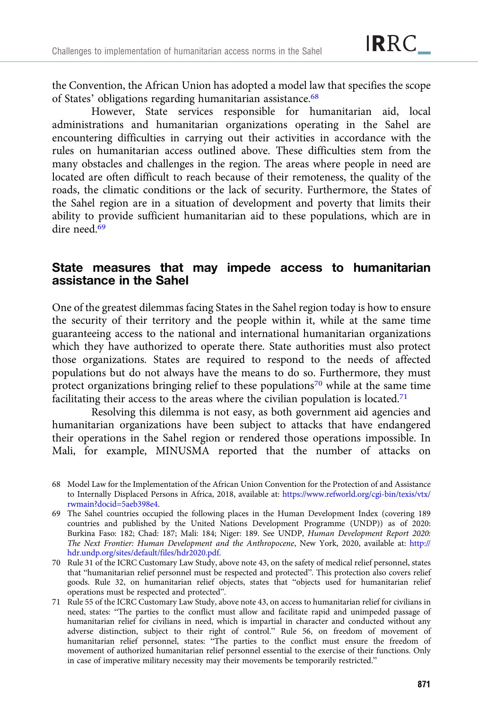the Convention, the African Union has adopted a model law that specifies the scope of States' obligations regarding humanitarian assistance.<sup>68</sup>

However, State services responsible for humanitarian aid, local administrations and humanitarian organizations operating in the Sahel are encountering difficulties in carrying out their activities in accordance with the rules on humanitarian access outlined above. These difficulties stem from the many obstacles and challenges in the region. The areas where people in need are located are often difficult to reach because of their remoteness, the quality of the roads, the climatic conditions or the lack of security. Furthermore, the States of the Sahel region are in a situation of development and poverty that limits their ability to provide sufficient humanitarian aid to these populations, which are in dire need.<sup>69</sup>

## State measures that may impede access to humanitarian assistance in the Sahel

One of the greatest dilemmas facing States in the Sahel region today is how to ensure the security of their territory and the people within it, while at the same time guaranteeing access to the national and international humanitarian organizations which they have authorized to operate there. State authorities must also protect those organizations. States are required to respond to the needs of affected populations but do not always have the means to do so. Furthermore, they must protect organizations bringing relief to these populations<sup>70</sup> while at the same time facilitating their access to the areas where the civilian population is located.<sup>71</sup>

Resolving this dilemma is not easy, as both government aid agencies and humanitarian organizations have been subject to attacks that have endangered their operations in the Sahel region or rendered those operations impossible. In Mali, for example, MINUSMA reported that the number of attacks on

<sup>68</sup> Model Law for the Implementation of the African Union Convention for the Protection of and Assistance to Internally Displaced Persons in Africa, 2018, available at: [https://www.refworld.org/cgi-bin/texis/vtx/](https://www.refworld.org/cgi-bin/texis/vtx/rwmain?docid=5aeb398e4) [rwmain?docid=5aeb398e4](https://www.refworld.org/cgi-bin/texis/vtx/rwmain?docid=5aeb398e4).

<sup>69</sup> The Sahel countries occupied the following places in the Human Development Index (covering 189 countries and published by the United Nations Development Programme (UNDP)) as of 2020: Burkina Faso: 182; Chad: 187; Mali: 184; Niger: 189. See UNDP, Human Development Report 2020: The Next Frontier: Human Development and the Anthropocene, New York, 2020, available at: [http://](http://hdr.undp.org/sites/default/files/hdr2020.pdf) [hdr.undp.org/sites/default/files/hdr2020.pdf](http://hdr.undp.org/sites/default/files/hdr2020.pdf).

<sup>70</sup> Rule 31 of the ICRC Customary Law Study, above note 43, on the safety of medical relief personnel, states that "humanitarian relief personnel must be respected and protected". This protection also covers relief goods. Rule 32, on humanitarian relief objects, states that "objects used for humanitarian relief operations must be respected and protected".

<sup>71</sup> Rule 55 of the ICRC Customary Law Study, above note 43, on access to humanitarian relief for civilians in need, states: "The parties to the conflict must allow and facilitate rapid and unimpeded passage of humanitarian relief for civilians in need, which is impartial in character and conducted without any adverse distinction, subject to their right of control." Rule 56, on freedom of movement of humanitarian relief personnel, states: "The parties to the conflict must ensure the freedom of movement of authorized humanitarian relief personnel essential to the exercise of their functions. Only in case of imperative military necessity may their movements be temporarily restricted."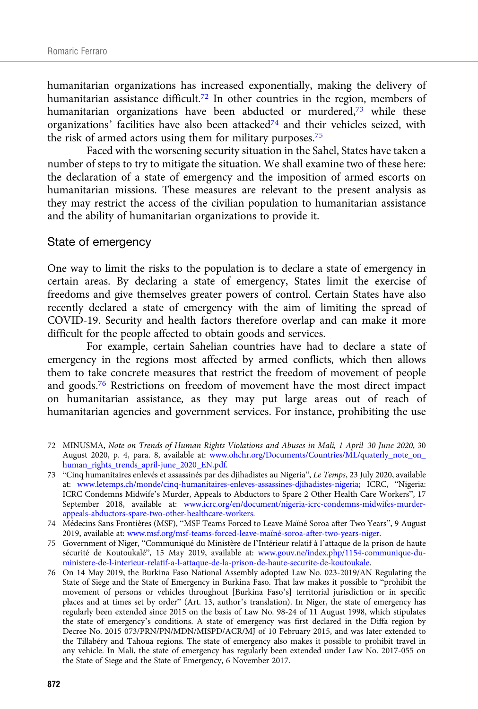humanitarian organizations has increased exponentially, making the delivery of humanitarian assistance difficult.<sup>72</sup> In other countries in the region, members of humanitarian organizations have been abducted or murdered,<sup>73</sup> while these organizations' facilities have also been attacked<sup>74</sup> and their vehicles seized, with the risk of armed actors using them for military purposes.<sup>75</sup>

Faced with the worsening security situation in the Sahel, States have taken a number of steps to try to mitigate the situation. We shall examine two of these here: the declaration of a state of emergency and the imposition of armed escorts on humanitarian missions. These measures are relevant to the present analysis as they may restrict the access of the civilian population to humanitarian assistance and the ability of humanitarian organizations to provide it.

#### State of emergency

One way to limit the risks to the population is to declare a state of emergency in certain areas. By declaring a state of emergency, States limit the exercise of freedoms and give themselves greater powers of control. Certain States have also recently declared a state of emergency with the aim of limiting the spread of COVID-19. Security and health factors therefore overlap and can make it more difficult for the people affected to obtain goods and services.

For example, certain Sahelian countries have had to declare a state of emergency in the regions most affected by armed conflicts, which then allows them to take concrete measures that restrict the freedom of movement of people and goods.76 Restrictions on freedom of movement have the most direct impact on humanitarian assistance, as they may put large areas out of reach of humanitarian agencies and government services. For instance, prohibiting the use

- 72 MINUSMA, Note on Trends of Human Rights Violations and Abuses in Mali, 1 April–30 June 2020, 30 August 2020, p. 4, para. 8, available at: [www.ohchr.org/Documents/Countries/ML/quaterly\\_note\\_on\\_](https://www.ohchr.org/Documents/Countries/ML/quaterly_note_on_human_rights_trends_april-june_2020_EN.pdf) [human\\_rights\\_trends\\_april-june\\_2020\\_EN.pdf.](https://www.ohchr.org/Documents/Countries/ML/quaterly_note_on_human_rights_trends_april-june_2020_EN.pdf)
- 73 "Cinq humanitaires enlevés et assassinés par des djihadistes au Nigeria", Le Temps, 23 July 2020, available at: [www.letemps.ch/monde/cinq-humanitaires-enleves-assassines-djihadistes-nigeria;](https://www.letemps.ch/monde/cinq-humanitaires-enleves-assassines-djihadistes-nigeria) ICRC, "Nigeria: ICRC Condemns Midwife's Murder, Appeals to Abductors to Spare 2 Other Health Care Workers", 17 September 2018, available at: [www.icrc.org/en/document/nigeria-icrc-condemns-midwifes-murder](http://www.icrc.org/en/document/nigeria-icrc-condemns-midwifes-murder-appeals-abductors-spare-two-other-healthcare-workers)[appeals-abductors-spare-two-other-healthcare-workers.](http://www.icrc.org/en/document/nigeria-icrc-condemns-midwifes-murder-appeals-abductors-spare-two-other-healthcare-workers)
- 74 Médecins Sans Frontières (MSF), "MSF Teams Forced to Leave Maïné Soroa after Two Years", 9 August 2019, available at: [www.msf.org/msf-teams-forced-leave-maïné-soroa-after-two-years-niger.](https://www.msf.org/msf-teams-forced-leave-maïné-soroa-after-two-years-niger)
- 75 Government of Niger, "Communiqué du Ministère de l'Intérieur relatif à l'attaque de la prison de haute sécurité de Koutoukalé", 15 May 2019, available at: [www.gouv.ne/index.php/1154-communique-du](http://www.gouv.ne/index.php/1154-communique-du-ministere-de-l-interieur-relatif-a-l-attaque-de-la-prison-de-haute-securite-de-koutoukale)[ministere-de-l-interieur-relatif-a-l-attaque-de-la-prison-de-haute-securite-de-koutoukale.](http://www.gouv.ne/index.php/1154-communique-du-ministere-de-l-interieur-relatif-a-l-attaque-de-la-prison-de-haute-securite-de-koutoukale)
- 76 On 14 May 2019, the Burkina Faso National Assembly adopted Law No. 023-2019/AN Regulating the State of Siege and the State of Emergency in Burkina Faso. That law makes it possible to "prohibit the movement of persons or vehicles throughout [Burkina Faso's] territorial jurisdiction or in specific places and at times set by order" (Art. 13, author's translation). In Niger, the state of emergency has regularly been extended since 2015 on the basis of Law No. 98-24 of 11 August 1998, which stipulates the state of emergency's conditions. A state of emergency was first declared in the Diffa region by Decree No. 2015 073/PRN/PN/MDN/MISPD/ACR/MJ of 10 February 2015, and was later extended to the Tillabéry and Tahoua regions. The state of emergency also makes it possible to prohibit travel in any vehicle. In Mali, the state of emergency has regularly been extended under Law No. 2017-055 on the State of Siege and the State of Emergency, 6 November 2017.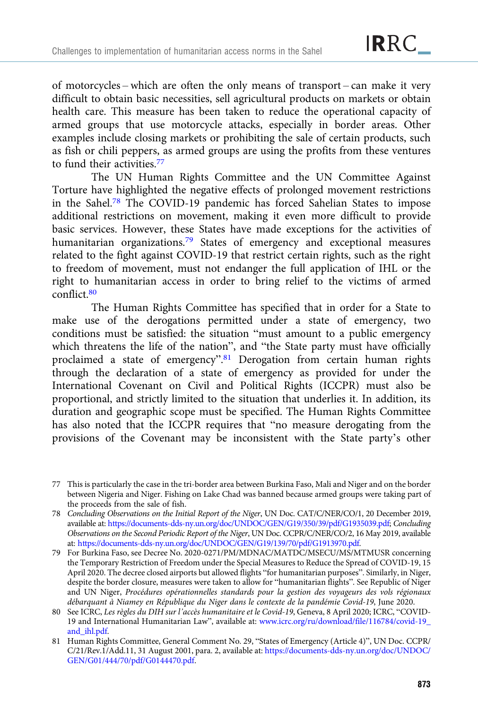of motorcycles – which are often the only means of transport – can make it very difficult to obtain basic necessities, sell agricultural products on markets or obtain health care. This measure has been taken to reduce the operational capacity of armed groups that use motorcycle attacks, especially in border areas. Other examples include closing markets or prohibiting the sale of certain products, such as fish or chili peppers, as armed groups are using the profits from these ventures to fund their activities.77

The UN Human Rights Committee and the UN Committee Against Torture have highlighted the negative effects of prolonged movement restrictions in the Sahel.<sup>78</sup> The COVID-19 pandemic has forced Sahelian States to impose additional restrictions on movement, making it even more difficult to provide basic services. However, these States have made exceptions for the activities of humanitarian organizations.<sup>79</sup> States of emergency and exceptional measures related to the fight against COVID-19 that restrict certain rights, such as the right to freedom of movement, must not endanger the full application of IHL or the right to humanitarian access in order to bring relief to the victims of armed conflict.80

The Human Rights Committee has specified that in order for a State to make use of the derogations permitted under a state of emergency, two conditions must be satisfied: the situation "must amount to a public emergency which threatens the life of the nation", and "the State party must have officially proclaimed a state of emergency".<sup>81</sup> Derogation from certain human rights through the declaration of a state of emergency as provided for under the International Covenant on Civil and Political Rights (ICCPR) must also be proportional, and strictly limited to the situation that underlies it. In addition, its duration and geographic scope must be specified. The Human Rights Committee has also noted that the ICCPR requires that "no measure derogating from the provisions of the Covenant may be inconsistent with the State party's other

<sup>77</sup> This is particularly the case in the tri-border area between Burkina Faso, Mali and Niger and on the border between Nigeria and Niger. Fishing on Lake Chad was banned because armed groups were taking part of the proceeds from the sale of fish.

<sup>78</sup> Concluding Observations on the Initial Report of the Niger, UN Doc. CAT/C/NER/CO/1, 20 December 2019, available at: [https://documents-dds-ny.un.org/doc/UNDOC/GEN/G19/350/39/pdf/G1935039.pdf;](https://documents-dds-ny.un.org/doc/UNDOC/GEN/G19/350/39/pdf/G1935039.pdf) Concluding Observations on the Second Periodic Report of the Niger, UN Doc. CCPR/C/NER/CO/2, 16 May 2019, available at: <https://documents-dds-ny.un.org/doc/UNDOC/GEN/G19/139/70/pdf/G1913970.pdf>.

<sup>79</sup> For Burkina Faso, see Decree No. 2020-0271/PM/MDNAC/MATDC/MSECU/MS/MTMUSR concerning the Temporary Restriction of Freedom under the Special Measures to Reduce the Spread of COVID-19, 15 April 2020. The decree closed airports but allowed flights "for humanitarian purposes". Similarly, in Niger, despite the border closure, measures were taken to allow for "humanitarian flights". See Republic of Niger and UN Niger, Procédures opérationnelles standards pour la gestion des voyageurs des vols régionaux débarquant à Niamey en République du Niger dans le contexte de la pandémie Covid-19, June 2020.

<sup>80</sup> See ICRC, Les règles du DIH sur l'accès humanitaire et le Covid-19, Geneva, 8 April 2020; ICRC, "COVID-19 and International Humanitarian Law", available at: [www.icrc.org/ru/download/file/116784/covid-19\\_](https://www.icrc.org/ru/download/file/116784/covid-19_and_ihl.pdf) [and\\_ihl.pdf.](https://www.icrc.org/ru/download/file/116784/covid-19_and_ihl.pdf)

<sup>81</sup> Human Rights Committee, General Comment No. 29, "States of Emergency (Article 4)", UN Doc. CCPR/ C/21/Rev.1/Add.11, 31 August 2001, para. 2, available at: [https://documents-dds-ny.un.org/doc/UNDOC/](https://documents-dds-ny.un.org/doc/UNDOC/GEN/G01/444/70/pdf/G0144470.pdf) [GEN/G01/444/70/pdf/G0144470.pdf.](https://documents-dds-ny.un.org/doc/UNDOC/GEN/G01/444/70/pdf/G0144470.pdf)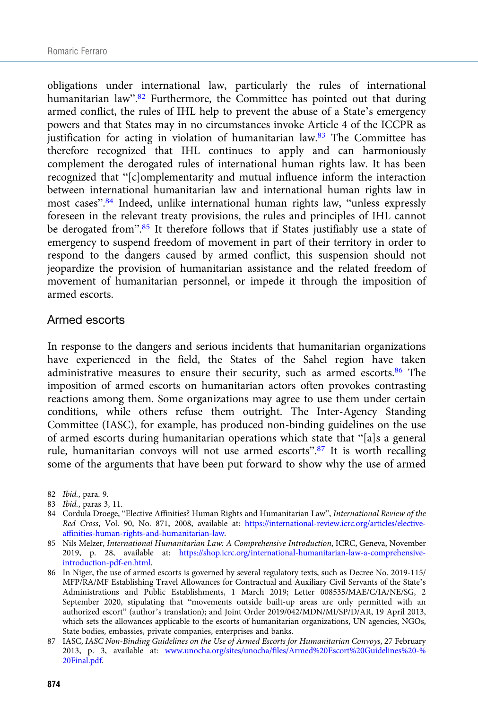obligations under international law, particularly the rules of international humanitarian law".<sup>82</sup> Furthermore, the Committee has pointed out that during armed conflict, the rules of IHL help to prevent the abuse of a State's emergency powers and that States may in no circumstances invoke Article 4 of the ICCPR as justification for acting in violation of humanitarian law. $83$  The Committee has therefore recognized that IHL continues to apply and can harmoniously complement the derogated rules of international human rights law. It has been recognized that "[c]omplementarity and mutual influence inform the interaction between international humanitarian law and international human rights law in most cases".<sup>84</sup> Indeed, unlike international human rights law, "unless expressly foreseen in the relevant treaty provisions, the rules and principles of IHL cannot be derogated from".<sup>85</sup> It therefore follows that if States justifiably use a state of emergency to suspend freedom of movement in part of their territory in order to respond to the dangers caused by armed conflict, this suspension should not jeopardize the provision of humanitarian assistance and the related freedom of movement of humanitarian personnel, or impede it through the imposition of armed escorts.

#### Armed escorts

In response to the dangers and serious incidents that humanitarian organizations have experienced in the field, the States of the Sahel region have taken administrative measures to ensure their security, such as armed escorts.<sup>86</sup> The imposition of armed escorts on humanitarian actors often provokes contrasting reactions among them. Some organizations may agree to use them under certain conditions, while others refuse them outright. The Inter-Agency Standing Committee (IASC), for example, has produced non-binding guidelines on the use of armed escorts during humanitarian operations which state that "[a]s a general rule, humanitarian convoys will not use armed escorts".<sup>87</sup> It is worth recalling some of the arguments that have been put forward to show why the use of armed

- 85 Nils Melzer, International Humanitarian Law: A Comprehensive Introduction, ICRC, Geneva, November 2019, p. 28, available at: [https://shop.icrc.org/international-humanitarian-law-a-comprehensive](https://shop.icrc.org/international-humanitarian-law-a-comprehensive-introduction-pdf-en.html)[introduction-pdf-en.html](https://shop.icrc.org/international-humanitarian-law-a-comprehensive-introduction-pdf-en.html).
- 86 In Niger, the use of armed escorts is governed by several regulatory texts, such as Decree No. 2019-115/ MFP/RA/MF Establishing Travel Allowances for Contractual and Auxiliary Civil Servants of the State's Administrations and Public Establishments, 1 March 2019; Letter 008535/MAE/C/IA/NE/SG, 2 September 2020, stipulating that "movements outside built-up areas are only permitted with an authorized escort" (author's translation); and Joint Order 2019/042/MDN/MI/SP/D/AR, 19 April 2013, which sets the allowances applicable to the escorts of humanitarian organizations, UN agencies, NGOs, State bodies, embassies, private companies, enterprises and banks.

<sup>82</sup> Ibid., para. 9.

<sup>83</sup> Ibid., paras 3, 11.

<sup>84</sup> Cordula Droege, "Elective Affinities? Human Rights and Humanitarian Law", International Review of the Red Cross, Vol. 90, No. 871, 2008, available at: [https://international-review.icrc.org/articles/elective](https://international-review.icrc.org/articles/elective-affinities-human-rights-and-humanitarian-law)[affinities-human-rights-and-humanitarian-law](https://international-review.icrc.org/articles/elective-affinities-human-rights-and-humanitarian-law).

<sup>87</sup> IASC, IASC Non-Binding Guidelines on the Use of Armed Escorts for Humanitarian Convoys, 27 February 2013, p. 3, available at: [www.unocha.org/sites/unocha/files/Armed%20Escort%20Guidelines%20-%](https://www.unocha.org/sites/unocha/files/Armed%20Escort%20Guidelines%20-%20Final.pdf) [20Final.pdf.](https://www.unocha.org/sites/unocha/files/Armed%20Escort%20Guidelines%20-%20Final.pdf)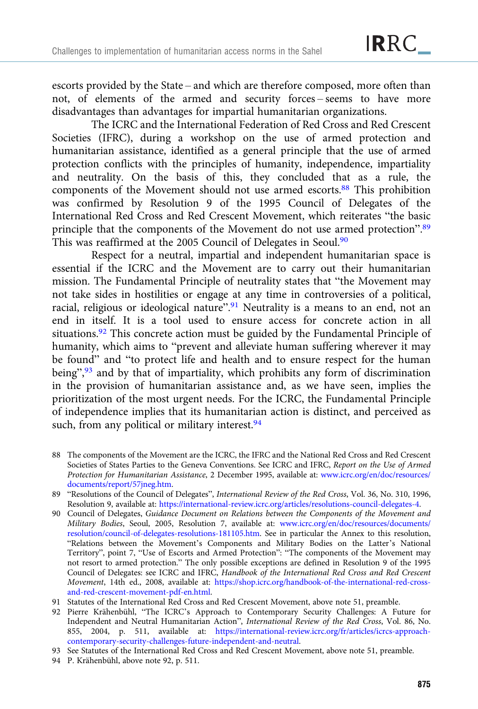escorts provided by the State – and which are therefore composed, more often than not, of elements of the armed and security forces – seems to have more disadvantages than advantages for impartial humanitarian organizations.

The ICRC and the International Federation of Red Cross and Red Crescent Societies (IFRC), during a workshop on the use of armed protection and humanitarian assistance, identified as a general principle that the use of armed protection conflicts with the principles of humanity, independence, impartiality and neutrality. On the basis of this, they concluded that as a rule, the components of the Movement should not use armed escorts.<sup>88</sup> This prohibition was confirmed by Resolution 9 of the 1995 Council of Delegates of the International Red Cross and Red Crescent Movement, which reiterates "the basic principle that the components of the Movement do not use armed protection".<sup>89</sup> This was reaffirmed at the 2005 Council of Delegates in Seoul.<sup>90</sup>

Respect for a neutral, impartial and independent humanitarian space is essential if the ICRC and the Movement are to carry out their humanitarian mission. The Fundamental Principle of neutrality states that "the Movement may not take sides in hostilities or engage at any time in controversies of a political, racial, religious or ideological nature".<sup>91</sup> Neutrality is a means to an end, not an end in itself. It is a tool used to ensure access for concrete action in all situations.<sup>92</sup> This concrete action must be guided by the Fundamental Principle of humanity, which aims to "prevent and alleviate human suffering wherever it may be found" and "to protect life and health and to ensure respect for the human being",<sup>93</sup> and by that of impartiality, which prohibits any form of discrimination in the provision of humanitarian assistance and, as we have seen, implies the prioritization of the most urgent needs. For the ICRC, the Fundamental Principle of independence implies that its humanitarian action is distinct, and perceived as such, from any political or military interest.<sup>94</sup>

- 88 The components of the Movement are the ICRC, the IFRC and the National Red Cross and Red Crescent Societies of States Parties to the Geneva Conventions. See ICRC and IFRC, Report on the Use of Armed Protection for Humanitarian Assistance, 2 December 1995, available at: [www.icrc.org/en/doc/resources/](https://www.icrc.org/en/doc/resources/documents/report/57jneg.htm) [documents/report/57jneg.htm.](https://www.icrc.org/en/doc/resources/documents/report/57jneg.htm)
- 89 "Resolutions of the Council of Delegates", International Review of the Red Cross, Vol. 36, No. 310, 1996, Resolution 9, available at: <https://international-review.icrc.org/articles/resolutions-council-delegates-4>.
- 90 Council of Delegates, Guidance Document on Relations between the Components of the Movement and Military Bodies, Seoul, 2005, Resolution 7, available at: [www.icrc.org/en/doc/resources/documents/](https://www.icrc.org/en/doc/resources/documents/resolution/council-of-delegates-resolutions-181105.htm) [resolution/council-of-delegates-resolutions-181105.htm.](https://www.icrc.org/en/doc/resources/documents/resolution/council-of-delegates-resolutions-181105.htm) See in particular the Annex to this resolution, "Relations between the Movement's Components and Military Bodies on the Latter's National Territory", point 7, "Use of Escorts and Armed Protection": "The components of the Movement may not resort to armed protection." The only possible exceptions are defined in Resolution 9 of the 1995 Council of Delegates: see ICRC and IFRC, Handbook of the International Red Cross and Red Crescent Movement, 14th ed., 2008, available at: [https://shop.icrc.org/handbook-of-the-international-red-cross](https://shop.icrc.org/handbook-of-the-international-red-cross-and-red-crescent-movement-pdf-en.html)[and-red-crescent-movement-pdf-en.html](https://shop.icrc.org/handbook-of-the-international-red-cross-and-red-crescent-movement-pdf-en.html).
- 91 Statutes of the International Red Cross and Red Crescent Movement, above note 51, preamble.
- 92 Pierre Krähenbühl, "The ICRC's Approach to Contemporary Security Challenges: A Future for Independent and Neutral Humanitarian Action", International Review of the Red Cross, Vol. 86, No. 855, 2004, p. 511, available at: [https://international-review.icrc.org/fr/articles/icrcs-approach](https://international-review.icrc.org/fr/articles/icrcs-approach-contemporary-security-challenges-future-independent-and-neutral)[contemporary-security-challenges-future-independent-and-neutral.](https://international-review.icrc.org/fr/articles/icrcs-approach-contemporary-security-challenges-future-independent-and-neutral)
- 93 See Statutes of the International Red Cross and Red Crescent Movement, above note 51, preamble.
- 94 P. Krähenbühl, above note 92, p. 511.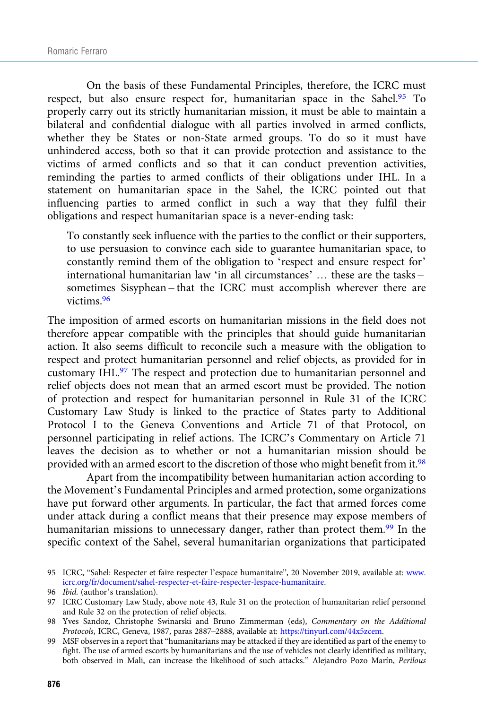On the basis of these Fundamental Principles, therefore, the ICRC must respect, but also ensure respect for, humanitarian space in the Sahel.<sup>95</sup> To properly carry out its strictly humanitarian mission, it must be able to maintain a bilateral and confidential dialogue with all parties involved in armed conflicts, whether they be States or non-State armed groups. To do so it must have unhindered access, both so that it can provide protection and assistance to the victims of armed conflicts and so that it can conduct prevention activities, reminding the parties to armed conflicts of their obligations under IHL. In a statement on humanitarian space in the Sahel, the ICRC pointed out that influencing parties to armed conflict in such a way that they fulfil their obligations and respect humanitarian space is a never-ending task:

To constantly seek influence with the parties to the conflict or their supporters, to use persuasion to convince each side to guarantee humanitarian space, to constantly remind them of the obligation to 'respect and ensure respect for' international humanitarian law 'in all circumstances' … these are the tasks – sometimes Sisyphean – that the ICRC must accomplish wherever there are victims.96

The imposition of armed escorts on humanitarian missions in the field does not therefore appear compatible with the principles that should guide humanitarian action. It also seems difficult to reconcile such a measure with the obligation to respect and protect humanitarian personnel and relief objects, as provided for in customary IHL.97 The respect and protection due to humanitarian personnel and relief objects does not mean that an armed escort must be provided. The notion of protection and respect for humanitarian personnel in Rule 31 of the ICRC Customary Law Study is linked to the practice of States party to Additional Protocol I to the Geneva Conventions and Article 71 of that Protocol, on personnel participating in relief actions. The ICRC's Commentary on Article 71 leaves the decision as to whether or not a humanitarian mission should be provided with an armed escort to the discretion of those who might benefit from it.98

Apart from the incompatibility between humanitarian action according to the Movement's Fundamental Principles and armed protection, some organizations have put forward other arguments. In particular, the fact that armed forces come under attack during a conflict means that their presence may expose members of humanitarian missions to unnecessary danger, rather than protect them.<sup>99</sup> In the specific context of the Sahel, several humanitarian organizations that participated

99 MSF observes in a report that "humanitarians may be attacked if they are identified as part of the enemy to fight. The use of armed escorts by humanitarians and the use of vehicles not clearly identified as military, both observed in Mali, can increase the likelihood of such attacks." Alejandro Pozo Marín, Perilous

<sup>95</sup> ICRC, "Sahel: Respecter et faire respecter l'espace humanitaire", 20 November 2019, available at: [www.](https://www.icrc.org/fr/document/sahel-respecter-et-faire-respecter-lespace-humanitaire) [icrc.org/fr/document/sahel-respecter-et-faire-respecter-lespace-humanitaire.](https://www.icrc.org/fr/document/sahel-respecter-et-faire-respecter-lespace-humanitaire)

<sup>96</sup> Ibid. (author's translation).

<sup>97</sup> ICRC Customary Law Study, above note 43, Rule 31 on the protection of humanitarian relief personnel and Rule 32 on the protection of relief objects.

<sup>98</sup> Yves Sandoz, Christophe Swinarski and Bruno Zimmerman (eds), Commentary on the Additional Protocols, ICRC, Geneva, 1987, paras 2887–2888, available at: <https://tinyurl.com/44x5zcem>.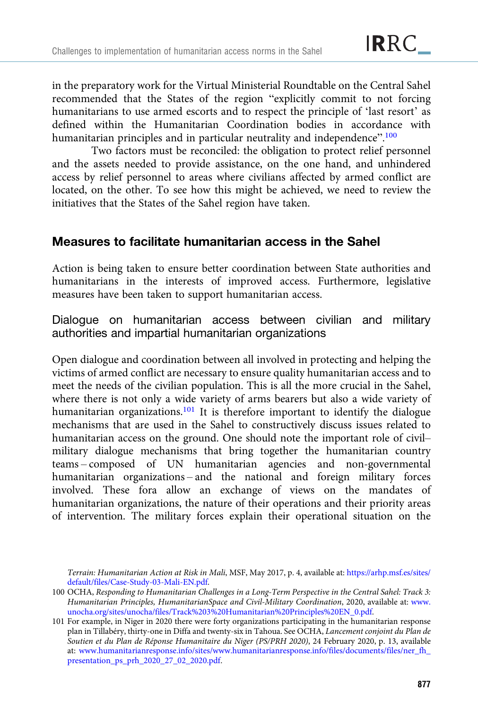in the preparatory work for the Virtual Ministerial Roundtable on the Central Sahel recommended that the States of the region "explicitly commit to not forcing humanitarians to use armed escorts and to respect the principle of 'last resort' as defined within the Humanitarian Coordination bodies in accordance with humanitarian principles and in particular neutrality and independence".<sup>100</sup>

Two factors must be reconciled: the obligation to protect relief personnel and the assets needed to provide assistance, on the one hand, and unhindered access by relief personnel to areas where civilians affected by armed conflict are located, on the other. To see how this might be achieved, we need to review the initiatives that the States of the Sahel region have taken.

# Measures to facilitate humanitarian access in the Sahel

Action is being taken to ensure better coordination between State authorities and humanitarians in the interests of improved access. Furthermore, legislative measures have been taken to support humanitarian access.

Dialogue on humanitarian access between civilian and military authorities and impartial humanitarian organizations

Open dialogue and coordination between all involved in protecting and helping the victims of armed conflict are necessary to ensure quality humanitarian access and to meet the needs of the civilian population. This is all the more crucial in the Sahel, where there is not only a wide variety of arms bearers but also a wide variety of humanitarian organizations.<sup>101</sup> It is therefore important to identify the dialogue mechanisms that are used in the Sahel to constructively discuss issues related to humanitarian access on the ground. One should note the important role of civil– military dialogue mechanisms that bring together the humanitarian country teams – composed of UN humanitarian agencies and non-governmental humanitarian organizations – and the national and foreign military forces involved. These fora allow an exchange of views on the mandates of humanitarian organizations, the nature of their operations and their priority areas of intervention. The military forces explain their operational situation on the

Terrain: Humanitarian Action at Risk in Mali, MSF, May 2017, p. 4, available at: [https://arhp.msf.es/sites/](https://arhp.msf.es/sites/default/files/Case-Study-03-Mali-EN.pdf) [default/files/Case-Study-03-Mali-EN.pdf.](https://arhp.msf.es/sites/default/files/Case-Study-03-Mali-EN.pdf)

<sup>100</sup> OCHA, Responding to Humanitarian Challenges in a Long-Term Perspective in the Central Sahel: Track 3: Humanitarian Principles, HumanitarianSpace and Civil-Military Coordination, 2020, available at: [www.](https://www.unocha.org/sites/unocha/files/Track%203%20Humanitarian%20Principles%20EN_0.pdf) [unocha.org/sites/unocha/files/Track%203%20Humanitarian%20Principles%20EN\\_0.pdf](https://www.unocha.org/sites/unocha/files/Track%203%20Humanitarian%20Principles%20EN_0.pdf).

<sup>101</sup> For example, in Niger in 2020 there were forty organizations participating in the humanitarian response plan in Tillabéry, thirty-one in Diffa and twenty-six in Tahoua. See OCHA, Lancement conjoint du Plan de Soutien et du Plan de Réponse Humanitaire du Niger (PS/PRH 2020), 24 February 2020, p. 13, available at: [www.humanitarianresponse.info/sites/www.humanitarianresponse.info/files/documents/files/ner\\_fh\\_](http://www.humanitarianresponse.info/sites/www.humanitarianresponse.info/files/documents/files/ner_fh_presentation_ps_prh_2020_27_02_2020.pdf) [presentation\\_ps\\_prh\\_2020\\_27\\_02\\_2020.pdf.](http://www.humanitarianresponse.info/sites/www.humanitarianresponse.info/files/documents/files/ner_fh_presentation_ps_prh_2020_27_02_2020.pdf)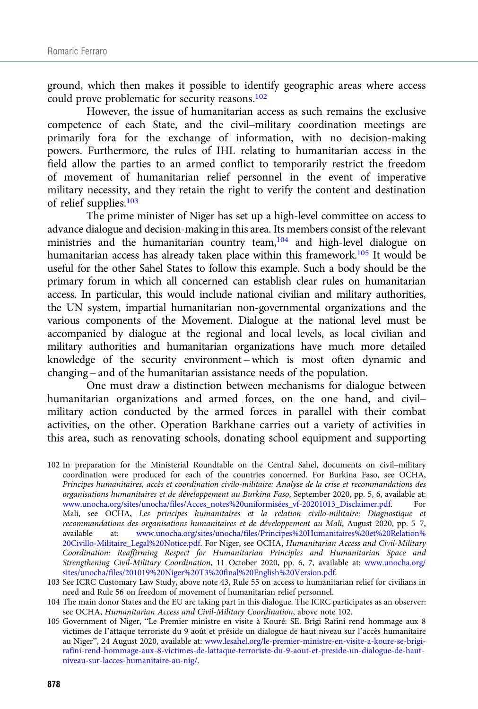ground, which then makes it possible to identify geographic areas where access could prove problematic for security reasons.<sup>102</sup>

However, the issue of humanitarian access as such remains the exclusive competence of each State, and the civil–military coordination meetings are primarily fora for the exchange of information, with no decision-making powers. Furthermore, the rules of IHL relating to humanitarian access in the field allow the parties to an armed conflict to temporarily restrict the freedom of movement of humanitarian relief personnel in the event of imperative military necessity, and they retain the right to verify the content and destination of relief supplies.103

The prime minister of Niger has set up a high-level committee on access to advance dialogue and decision-making in this area. Its members consist of the relevant ministries and the humanitarian country team,<sup>104</sup> and high-level dialogue on humanitarian access has already taken place within this framework.<sup>105</sup> It would be useful for the other Sahel States to follow this example. Such a body should be the primary forum in which all concerned can establish clear rules on humanitarian access. In particular, this would include national civilian and military authorities, the UN system, impartial humanitarian non-governmental organizations and the various components of the Movement. Dialogue at the national level must be accompanied by dialogue at the regional and local levels, as local civilian and military authorities and humanitarian organizations have much more detailed knowledge of the security environment – which is most often dynamic and changing – and of the humanitarian assistance needs of the population.

One must draw a distinction between mechanisms for dialogue between humanitarian organizations and armed forces, on the one hand, and civil– military action conducted by the armed forces in parallel with their combat activities, on the other. Operation Barkhane carries out a variety of activities in this area, such as renovating schools, donating school equipment and supporting

102 In preparation for the Ministerial Roundtable on the Central Sahel, documents on civil–military coordination were produced for each of the countries concerned. For Burkina Faso, see OCHA, Principes humanitaires, accès et coordination civilo-militaire: Analyse de la crise et recommandations des organisations humanitaires et de développement au Burkina Faso, September 2020, pp. 5, 6, available at: [www.unocha.org/sites/unocha/files/Acces\\_notes%20uniformisées\\_vf-20201013\\_Disclaimer.pdf](https://www.unocha.org/sites/unocha/files/Acces_notes%20uniformisées_vf-20201013_Disclaimer.pdf). For Mali, see OCHA, Les principes humanitaires et la relation civilo-militaire: Diagnostique et recommandations des organisations humanitaires et de développement au Mali, August 2020, pp. 5–7, available at: [www.unocha.org/sites/unocha/files/Principes%20Humanitaires%20et%20Relation%](http://www.unocha.org/sites/unocha/files/Principes%20Humanitaires%20et%20Relation%20Civillo-Militaire_Legal%20Notice.pdf) [20Civillo-Militaire\\_Legal%20Notice.pdf](http://www.unocha.org/sites/unocha/files/Principes%20Humanitaires%20et%20Relation%20Civillo-Militaire_Legal%20Notice.pdf). For Niger, see OCHA, Humanitarian Access and Civil-Military Coordination: Reaffirming Respect for Humanitarian Principles and Humanitarian Space and Strengthening Civil-Military Coordination, 11 October 2020, pp. 6, 7, available at: [www.unocha.org/](https://www.unocha.org/sites/unocha/files/201019%20Niger%20T3%20final%20English%20Version.pdf) [sites/unocha/files/201019%20Niger%20T3%20final%20English%20Version.pdf.](https://www.unocha.org/sites/unocha/files/201019%20Niger%20T3%20final%20English%20Version.pdf)

103 See ICRC Customary Law Study, above note 43, Rule 55 on access to humanitarian relief for civilians in need and Rule 56 on freedom of movement of humanitarian relief personnel.

104 The main donor States and the EU are taking part in this dialogue. The ICRC participates as an observer: see OCHA, Humanitarian Access and Civil-Military Coordination, above note 102.

105 Government of Niger, "Le Premier ministre en visite à Kouré: SE. Brigi Rafini rend hommage aux 8 victimes de l'attaque terroriste du 9 août et préside un dialogue de haut niveau sur l'accès humanitaire au Niger", 24 August 2020, available at: [www.lesahel.org/le-premier-ministre-en-visite-a-koure-se-brigi](http://www.lesahel.org/le-premier-ministre-en-visite-a-koure-se-brigi-rafini-rend-hommage-aux-8-victimes-de-lattaque-terroriste-du-9-aout-et-preside-un-dialogue-de-haut-niveau-sur-lacces-humanitaire-au-nig/)[rafini-rend-hommage-aux-8-victimes-de-lattaque-terroriste-du-9-aout-et-preside-un-dialogue-de-haut](http://www.lesahel.org/le-premier-ministre-en-visite-a-koure-se-brigi-rafini-rend-hommage-aux-8-victimes-de-lattaque-terroriste-du-9-aout-et-preside-un-dialogue-de-haut-niveau-sur-lacces-humanitaire-au-nig/)[niveau-sur-lacces-humanitaire-au-nig/](http://www.lesahel.org/le-premier-ministre-en-visite-a-koure-se-brigi-rafini-rend-hommage-aux-8-victimes-de-lattaque-terroriste-du-9-aout-et-preside-un-dialogue-de-haut-niveau-sur-lacces-humanitaire-au-nig/).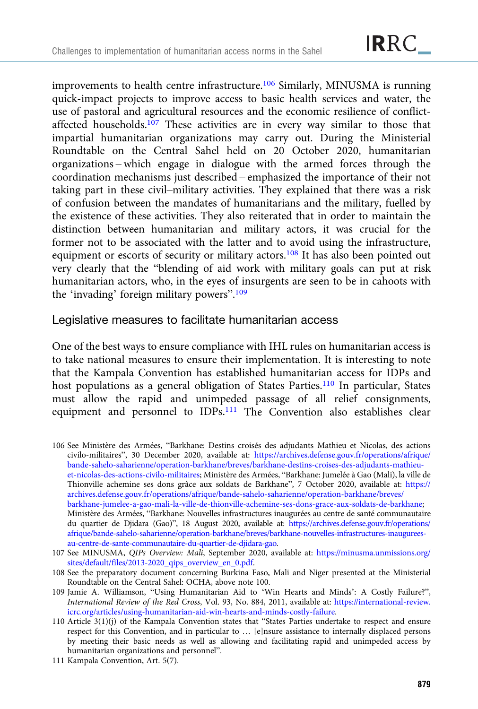improvements to health centre infrastructure.106 Similarly, MINUSMA is running quick-impact projects to improve access to basic health services and water, the use of pastoral and agricultural resources and the economic resilience of conflictaffected households.<sup>107</sup> These activities are in every way similar to those that impartial humanitarian organizations may carry out. During the Ministerial Roundtable on the Central Sahel held on 20 October 2020, humanitarian organizations – which engage in dialogue with the armed forces through the coordination mechanisms just described – emphasized the importance of their not taking part in these civil–military activities. They explained that there was a risk of confusion between the mandates of humanitarians and the military, fuelled by the existence of these activities. They also reiterated that in order to maintain the distinction between humanitarian and military actors, it was crucial for the former not to be associated with the latter and to avoid using the infrastructure, equipment or escorts of security or military actors.<sup>108</sup> It has also been pointed out very clearly that the "blending of aid work with military goals can put at risk humanitarian actors, who, in the eyes of insurgents are seen to be in cahoots with the 'invading' foreign military powers".<sup>109</sup>

## Legislative measures to facilitate humanitarian access

One of the best ways to ensure compliance with IHL rules on humanitarian access is to take national measures to ensure their implementation. It is interesting to note that the Kampala Convention has established humanitarian access for IDPs and host populations as a general obligation of States Parties.<sup>110</sup> In particular, States must allow the rapid and unimpeded passage of all relief consignments, equipment and personnel to IDPs.<sup>111</sup> The Convention also establishes clear

106 See Ministère des Armées, "Barkhane: Destins croisés des adjudants Mathieu et Nicolas, des actions civilo-militaires", 30 December 2020, available at: [https://archives.defense.gouv.fr/operations/afrique/](https://archives.defense.gouv.fr/operations/afrique/bande-sahelo-saharienne/operation-barkhane/breves/barkhane-destins-croises-des-adjudants-mathieu-et-nicolas-des-actions-civilo-militaires) [bande-sahelo-saharienne/operation-barkhane/breves/barkhane-destins-croises-des-adjudants-mathieu](https://archives.defense.gouv.fr/operations/afrique/bande-sahelo-saharienne/operation-barkhane/breves/barkhane-destins-croises-des-adjudants-mathieu-et-nicolas-des-actions-civilo-militaires)[et-nicolas-des-actions-civilo-militaires;](https://archives.defense.gouv.fr/operations/afrique/bande-sahelo-saharienne/operation-barkhane/breves/barkhane-destins-croises-des-adjudants-mathieu-et-nicolas-des-actions-civilo-militaires) Ministère des Armées, "Barkhane: Jumelée à Gao (Mali), la ville de Thionville achemine ses dons grâce aux soldats de Barkhane", 7 October 2020, available at: [https://](https://archives.defense.gouv.fr/operations/afrique/bande-sahelo-saharienne/operation-barkhane/breves/barkhane-jumelee-a-gao-mali-la-ville-de-thionville-achemine-ses-dons-grace-aux-soldats-de-barkhane) [archives.defense.gouv.fr/operations/afrique/bande-sahelo-saharienne/operation-barkhane/breves/](https://archives.defense.gouv.fr/operations/afrique/bande-sahelo-saharienne/operation-barkhane/breves/barkhane-jumelee-a-gao-mali-la-ville-de-thionville-achemine-ses-dons-grace-aux-soldats-de-barkhane) [barkhane-jumelee-a-gao-mali-la-ville-de-thionville-achemine-ses-dons-grace-aux-soldats-de-barkhane](https://archives.defense.gouv.fr/operations/afrique/bande-sahelo-saharienne/operation-barkhane/breves/barkhane-jumelee-a-gao-mali-la-ville-de-thionville-achemine-ses-dons-grace-aux-soldats-de-barkhane); Ministère des Armées, "Barkhane: Nouvelles infrastructures inaugurées au centre de santé communautaire du quartier de Djidara (Gao)", 18 August 2020, available at: [https://archives.defense.gouv.fr/operations/](https://archives.defense.gouv.fr/operations/afrique/bande-sahelo-saharienne/operation-barkhane/breves/barkhane-nouvelles-infrastructures-inaugurees-au-centre-de-sante-communautaire-du-quartier-de-djidara-gao) [afrique/bande-sahelo-saharienne/operation-barkhane/breves/barkhane-nouvelles-infrastructures-inaugurees](https://archives.defense.gouv.fr/operations/afrique/bande-sahelo-saharienne/operation-barkhane/breves/barkhane-nouvelles-infrastructures-inaugurees-au-centre-de-sante-communautaire-du-quartier-de-djidara-gao)[au-centre-de-sante-communautaire-du-quartier-de-djidara-gao](https://archives.defense.gouv.fr/operations/afrique/bande-sahelo-saharienne/operation-barkhane/breves/barkhane-nouvelles-infrastructures-inaugurees-au-centre-de-sante-communautaire-du-quartier-de-djidara-gao).

- 107 See MINUSMA, QIPs Overview: Mali, September 2020, available at: [https://minusma.unmissions.org/](https://minusma.unmissions.org/sites/default/files/2013-2020_qips_overview_en_0.pdf) [sites/default/files/2013-2020\\_qips\\_overview\\_en\\_0.pdf](https://minusma.unmissions.org/sites/default/files/2013-2020_qips_overview_en_0.pdf).
- 108 See the preparatory document concerning Burkina Faso, Mali and Niger presented at the Ministerial Roundtable on the Central Sahel: OCHA, above note 100.
- 109 Jamie A. Williamson, "Using Humanitarian Aid to 'Win Hearts and Minds': A Costly Failure?", International Review of the Red Cross, Vol. 93, No. 884, 2011, available at: [https://international-review.](https://international-review.icrc.org/articles/using-humanitarian-aid-win-hearts-and-minds-costly-failure) [icrc.org/articles/using-humanitarian-aid-win-hearts-and-minds-costly-failure.](https://international-review.icrc.org/articles/using-humanitarian-aid-win-hearts-and-minds-costly-failure)
- 110 Article 3(1)(j) of the Kampala Convention states that "States Parties undertake to respect and ensure respect for this Convention, and in particular to … [e]nsure assistance to internally displaced persons by meeting their basic needs as well as allowing and facilitating rapid and unimpeded access by humanitarian organizations and personnel".

111 Kampala Convention, Art. 5(7).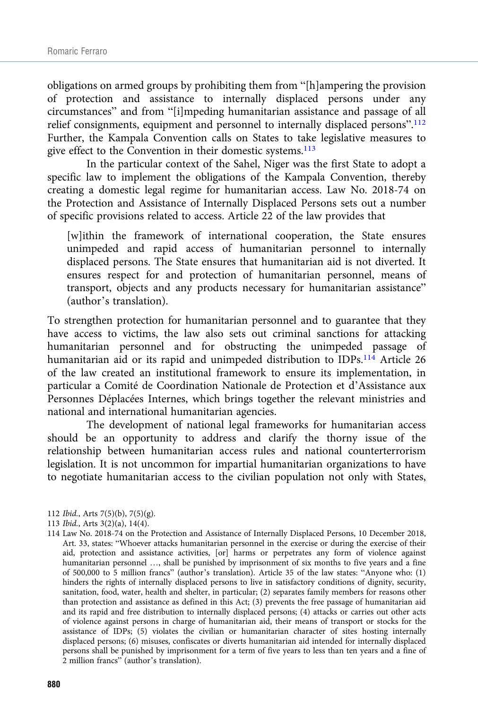obligations on armed groups by prohibiting them from "[h]ampering the provision of protection and assistance to internally displaced persons under any circumstances" and from "[i]mpeding humanitarian assistance and passage of all relief consignments, equipment and personnel to internally displaced persons".<sup>112</sup> Further, the Kampala Convention calls on States to take legislative measures to give effect to the Convention in their domestic systems.<sup>113</sup>

In the particular context of the Sahel, Niger was the first State to adopt a specific law to implement the obligations of the Kampala Convention, thereby creating a domestic legal regime for humanitarian access. Law No. 2018-74 on the Protection and Assistance of Internally Displaced Persons sets out a number of specific provisions related to access. Article 22 of the law provides that

[w]ithin the framework of international cooperation, the State ensures unimpeded and rapid access of humanitarian personnel to internally displaced persons. The State ensures that humanitarian aid is not diverted. It ensures respect for and protection of humanitarian personnel, means of transport, objects and any products necessary for humanitarian assistance" (author's translation).

To strengthen protection for humanitarian personnel and to guarantee that they have access to victims, the law also sets out criminal sanctions for attacking humanitarian personnel and for obstructing the unimpeded passage of humanitarian aid or its rapid and unimpeded distribution to IDPs.<sup>114</sup> Article 26 of the law created an institutional framework to ensure its implementation, in particular a Comité de Coordination Nationale de Protection et d'Assistance aux Personnes Déplacées Internes, which brings together the relevant ministries and national and international humanitarian agencies.

The development of national legal frameworks for humanitarian access should be an opportunity to address and clarify the thorny issue of the relationship between humanitarian access rules and national counterterrorism legislation. It is not uncommon for impartial humanitarian organizations to have to negotiate humanitarian access to the civilian population not only with States,

- 112 Ibid., Arts 7(5)(b), 7(5)(g).
- 113 Ibid., Arts 3(2)(a), 14(4).
- 114 Law No. 2018-74 on the Protection and Assistance of Internally Displaced Persons, 10 December 2018, Art. 33, states: "Whoever attacks humanitarian personnel in the exercise or during the exercise of their aid, protection and assistance activities, [or] harms or perpetrates any form of violence against humanitarian personnel …, shall be punished by imprisonment of six months to five years and a fine of 500,000 to 5 million francs" (author's translation). Article 35 of the law states: "Anyone who: (1) hinders the rights of internally displaced persons to live in satisfactory conditions of dignity, security, sanitation, food, water, health and shelter, in particular; (2) separates family members for reasons other than protection and assistance as defined in this Act; (3) prevents the free passage of humanitarian aid and its rapid and free distribution to internally displaced persons; (4) attacks or carries out other acts of violence against persons in charge of humanitarian aid, their means of transport or stocks for the assistance of IDPs; (5) violates the civilian or humanitarian character of sites hosting internally displaced persons; (6) misuses, confiscates or diverts humanitarian aid intended for internally displaced persons shall be punished by imprisonment for a term of five years to less than ten years and a fine of 2 million francs" (author's translation).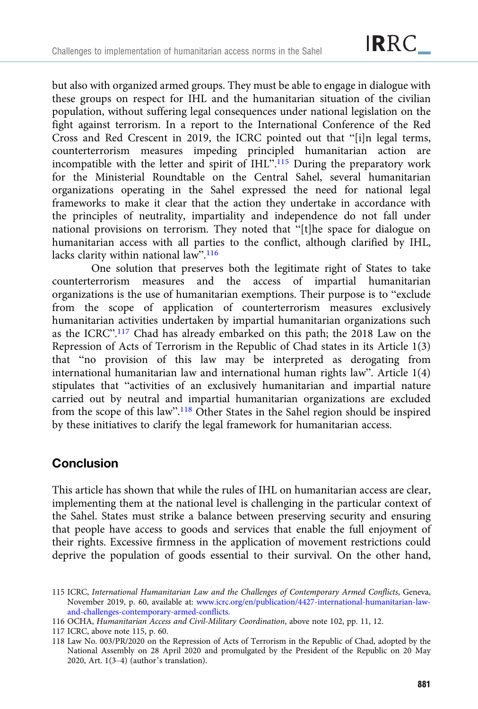but also with organized armed groups. They must be able to engage in dialogue with these groups on respect for IHL and the humanitarian situation of the civilian population, without suffering legal consequences under national legislation on the fight against terrorism. In a report to the International Conference of the Red Cross and Red Crescent in 2019, the ICRC pointed out that "[i]n legal terms, counterterrorism measures impeding principled humanitarian action are incompatible with the letter and spirit of IHL".<sup>115</sup> During the preparatory work for the Ministerial Roundtable on the Central Sahel, several humanitarian organizations operating in the Sahel expressed the need for national legal frameworks to make it clear that the action they undertake in accordance with the principles of neutrality, impartiality and independence do not fall under national provisions on terrorism. They noted that "[t]he space for dialogue on humanitarian access with all parties to the conflict, although clarified by IHL, lacks clarity within national law".<sup>116</sup>

One solution that preserves both the legitimate right of States to take counterterrorism measures and the access of impartial humanitarian organizations is the use of humanitarian exemptions. Their purpose is to "exclude from the scope of application of counterterrorism measures exclusively humanitarian activities undertaken by impartial humanitarian organizations such as the ICRC".<sup>117</sup> Chad has already embarked on this path; the 2018 Law on the Repression of Acts of Terrorism in the Republic of Chad states in its Article 1(3) that "no provision of this law may be interpreted as derogating from international humanitarian law and international human rights law". Article 1(4) stipulates that "activities of an exclusively humanitarian and impartial nature carried out by neutral and impartial humanitarian organizations are excluded from the scope of this law".<sup>118</sup> Other States in the Sahel region should be inspired by these initiatives to clarify the legal framework for humanitarian access.

# **Conclusion**

This article has shown that while the rules of IHL on humanitarian access are clear, implementing them at the national level is challenging in the particular context of the Sahel. States must strike a balance between preserving security and ensuring that people have access to goods and services that enable the full enjoyment of their rights. Excessive firmness in the application of movement restrictions could deprive the population of goods essential to their survival. On the other hand,

<sup>115</sup> ICRC, International Humanitarian Law and the Challenges of Contemporary Armed Conflicts, Geneva, November 2019, p. 60, available at: [www.icrc.org/en/publication/4427-international-humanitarian-law](http://www.icrc.org/en/publication/4427-international-humanitarian-law-and-challenges-contemporary-armed-conflicts)[and-challenges-contemporary-armed-conflicts.](http://www.icrc.org/en/publication/4427-international-humanitarian-law-and-challenges-contemporary-armed-conflicts)

<sup>116</sup> OCHA, Humanitarian Access and Civil-Military Coordination, above note 102, pp. 11, 12.

<sup>117</sup> ICRC, above note 115, p. 60.

<sup>118</sup> Law No. 003/PR/2020 on the Repression of Acts of Terrorism in the Republic of Chad, adopted by the National Assembly on 28 April 2020 and promulgated by the President of the Republic on 20 May 2020, Art. 1(3–4) (author's translation).